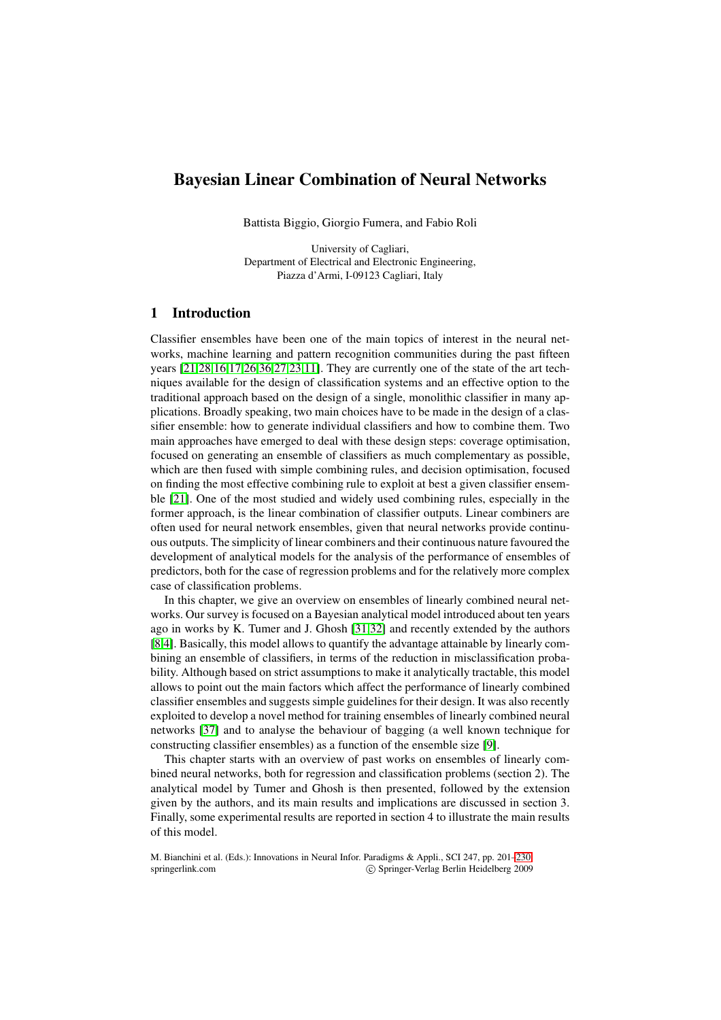# **Bayesian Linear Combination of Neural Networks**

Battista Biggio, Giorgio Fumera, and Fabio Roli

University of Cagliari, Department of Electrical and Electronic Engineering, Piazza d'Armi, I-09123 Cagliari, Italy

## **1 Introduction**

Classifier ensembles have been one of the main topics of interest in the neural networks, machine learning and pattern recognition communities during the past fifteen years [21,28,16,17,26,36,27,23,11]. They are currently one of the state of the art techniques available for the design of classification systems and an effective option to the traditional approach based on the design of a single, monolithic classifier in many applications. Broadly speaking, two main choices have to be made in the design of a classifier [ens](#page-28-0)[em](#page-29-0)[ble:](#page-28-1) [ho](#page-28-2)[w t](#page-29-1)[o g](#page-29-2)[en](#page-29-3)[erat](#page-29-4)[e in](#page-28-3)dividual classifiers and how to combine them. Two main approaches have emerged to deal with these design steps: coverage optimisation, focused on generating an ensemble of classifiers as much complementary as possible, which are then fused with simple combining rules, and decision optimisation, focused on finding the most effective combining rule to exploit at best a given classifier ensemble [21]. One of the most studied and widely used combining rules, especially in the former approach, is the linear combination of classifier outputs. Linear combiners are often used for neural network ensembles, given that neural networks provide continuous outputs. The simplicity of linear combiners and their continuous nature favoured the dev[elop](#page-28-0)ment of analytical models for the analysis of the performance of ensembles of predictors, both for the case of regression problems and for the relatively more complex case of classification problems.

In this chapter, we give an overview on ensembles of linearly combined neural networks. Our survey is focused on a Bayesian analytical model introduced about ten years ago in works by K. Tumer and J. Ghosh [31,32] and recently extended by the authors [8,4]. Basically, this model allows to quantify the advantage attainable by linearly combining an ensemble of classifiers, in terms of the reduction in misclassification probability. Although based on strict assumptions to make it analytically tractable, this model allows to point out the main factors whic[h aff](#page-29-5)[ect](#page-29-6) the performance of linearly combined [cla](#page-28-4)[ss](#page-28-5)ifier ensembles and suggests simple guidelines for their design. It was also recently exploited to develop a novel method for training ensembles of linearly combined neural networks [37] and to analyse the behaviour of bagging (a well known technique for constructing classifier ensembles) as a function of the ensemble size [9].

This chapter starts with an overview of past works on ensembles of linearly combined neural networks, both for regression and classification problems (section 2). The analytical [mo](#page-29-7)del by Tumer and Ghosh is then presented, followed by the extension given by the authors, and its main results and implications are discu[ss](#page-28-6)ed in section 3. Finally, some experimental results are reported in section 4 to illustrate the main results of this model.

M. Bianchini et al. (Eds.): Innovations in Neural Infor. Paradigms & Appli., SCI 247, pp. 201–230. springerlink.com c Springer-Verlag Berlin Heidelberg 2009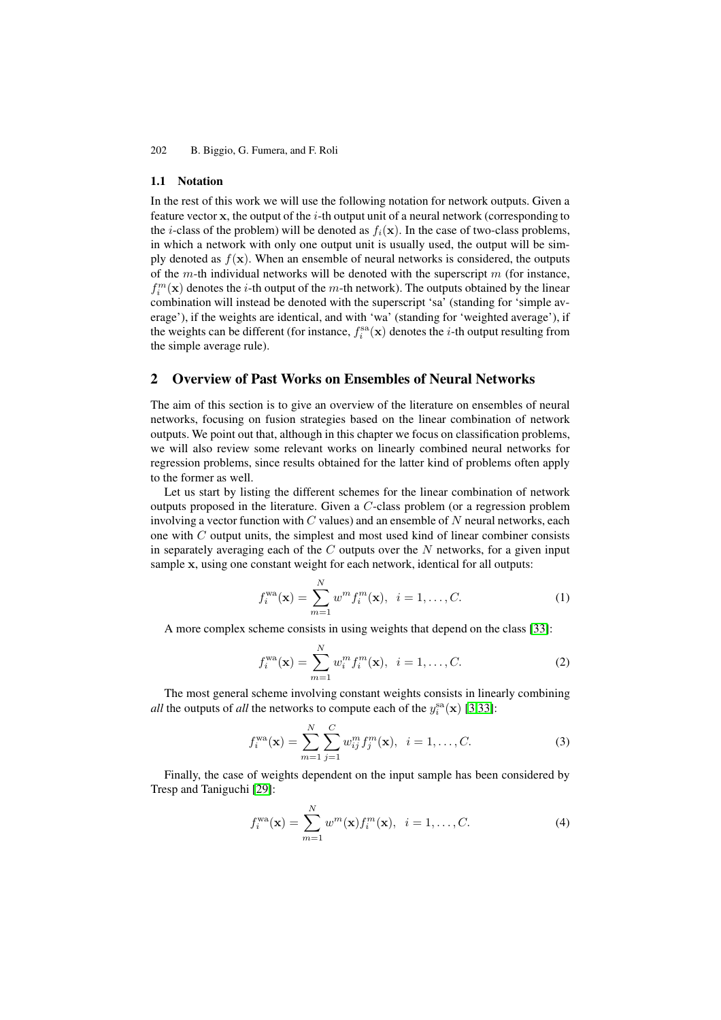#### **1.1 Notation**

In the rest of this work we will use the following notation for network outputs. Given a feature vector **x**, the output of the i-th output unit of a neural network (corresponding to the *i*-class of the problem) will be denoted as  $f_i(\mathbf{x})$ . In the case of two-class problems, in which a network with only one output unit is usually used, the output will be simply denoted as  $f(\mathbf{x})$ . When an ensemble of neural networks is considered, the outputs of the  $m$ -th individual networks will be denoted with the superscript  $m$  (for instance,  $f_i^m(\mathbf{x})$  denotes the *i*-th output of the *m*-th network). The outputs obtained by the linear combination will instead be denoted with the superscript 'sa' (standing for 'simple average'), if the weights are identical, and with 'wa' (standing for 'weighted average'), if the weights can be different (for instance,  $f_i^{\text{sa}}(x)$  denotes the *i*-th output resulting from the simple average rule).

## **2 Overview of Past Works on Ensembles of Neural Networks**

The aim of this section is to give an overview of the literature on ensembles of neural networks, focusing on fusion strategies based on the linear combination of network outputs. We point out that, although in this chapter we focus on classification problems, we will also review some relevant works on linearly combined neural networks for regression problems, since results obtained for the latter kind of problems often apply to the former as well.

Let us start by listing the different schemes for the linear combination of network outputs proposed in the literature. Given a C-class problem (or a regression problem involving a vector function with  $C$  values) and an ensemble of  $N$  neural networks, each one with  $C$  output units, the simplest and most used kind of linear combiner consists in separately averaging each of the  $C$  outputs over the  $N$  networks, for a given input sample **x**, using one constant weight for each network, identical for all outputs:

$$
f_i^{\text{wa}}(\mathbf{x}) = \sum_{m=1}^{N} w^m f_i^m(\mathbf{x}), \ \ i = 1, \dots, C.
$$
 (1)

A more complex scheme consists in using weights that depend on the class [33]:

<span id="page-1-0"></span>
$$
f_i^{\text{wa}}(\mathbf{x}) = \sum_{m=1}^{N} w_i^m f_i^m(\mathbf{x}), \ \ i = 1, \dots, C.
$$
 (2)

The most general scheme involving constant weights consists in linearly co[mbi](#page-29-8)ning *all* the outputs of *all* the networks to compute each of the  $y_i^{\text{sa}}(\mathbf{x})$  [3,33]:

$$
f_i^{\text{wa}}(\mathbf{x}) = \sum_{m=1}^{N} \sum_{j=1}^{C} w_{ij}^m f_j^m(\mathbf{x}), \ \ i = 1, \dots, C. \tag{3}
$$

Finally, the case of weights dependent on the input sample ha[s](#page-28-7) [bee](#page-29-8)n considered by Tresp and Taniguchi [29]:

<span id="page-1-1"></span>
$$
f_i^{\text{wa}}(\mathbf{x}) = \sum_{m=1}^{N} w^m(\mathbf{x}) f_i^m(\mathbf{x}), \quad i = 1, \dots, C.
$$
 (4)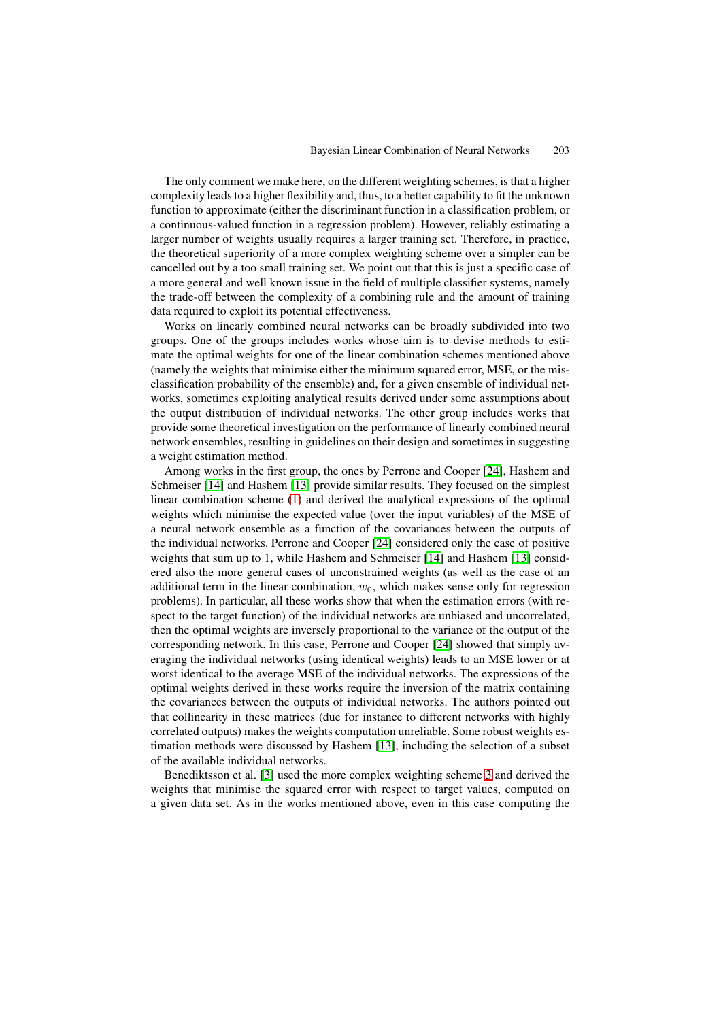The only comment we make here, on the different weighting schemes, is that a higher complexity leads to a higher flexibility and, thus, to a better capability to fit the unknown function to approximate (either the discriminant function in a classification problem, or a continuous-valued function in a regression problem). However, reliably estimating a larger number of weights usually requires a larger training set. Therefore, in practice, the theoretical superiority of a more complex weighting scheme over a simpler can be cancelled out by a too small training set. We point out that this is just a specific case of a more general and well known issue in the field of multiple classifier systems, namely the trade-off between the complexity of a combining rule and the amount of training data required to exploit its potential effectiveness.

Works on linearly combined neural networks can be broadly subdivided into two groups. One of the groups includes works whose aim is to devise methods to estimate the optimal weights for one of the linear combination schemes mentioned above (namely the weights that minimise either the minimum squared error, MSE, or the misclassification probability of the ensemble) and, for a given ensemble of individual networks, sometimes exploiting analytical results derived under some assumptions about the output distribution of individual networks. The other group includes works that provide some theoretical investigation on the performance of linearly combined neural network ensembles, resulting in guidelines on their design and sometimes in suggesting a weight estimation method.

Among works in the first group, the ones by Perrone and Cooper [24], Hashem and Schmeiser [14] and Hashem [13] provide similar results. They focused on the simplest linear combination scheme (1) and derived the analytical expressions of the optimal weights which minimise the expected value (over the input variables) of the MSE of a neural network ensemble as a function of the covariances betwe[en t](#page-29-9)he outputs of the individ[ual n](#page-28-8)etworks. Perr[one](#page-28-9) and Cooper [24] considered only the case of positive weights that sum up to 1, w[hile](#page-1-0) Hashem and Schmeiser [14] and Hashem [13] considered also the more general cases of unconstrained weights (as well as the case of an additional term in the linear combination,  $w<sub>0</sub>$ , which makes sense only for regression problems). In particular, all these works show [tha](#page-29-9)t when the estimation errors (with respect to the target function) of the individual networks a[re u](#page-28-8)nbiased and u[nco](#page-28-9)rrelated, then the optimal weights are inversely proportional to the variance of the output of the corresponding network. In this case, Perrone and Cooper [24] showed that simply averaging the individual networks (using identical weights) leads to an MSE lower or at worst identical to the average MSE of the individual networks. The expressions of the optimal weights derived in these works require the inversion of the matrix containing the covariances between the outputs of individual networ[ks.](#page-29-9) The authors pointed out that collinearity in these matrices (due for instance to different networks with highly correlated outputs) makes the weights computation unreliable. Some robust weights estimation methods were discussed by Hashem [13], including the selection of a subset of the available individual networks.

Benediktsson et al. [3] used the more complex weighting scheme 3 and derived the weights that minimise the squared error with respect to target values, computed on a given data set. As in the works mentioned [abo](#page-28-9)ve, even in this case computing the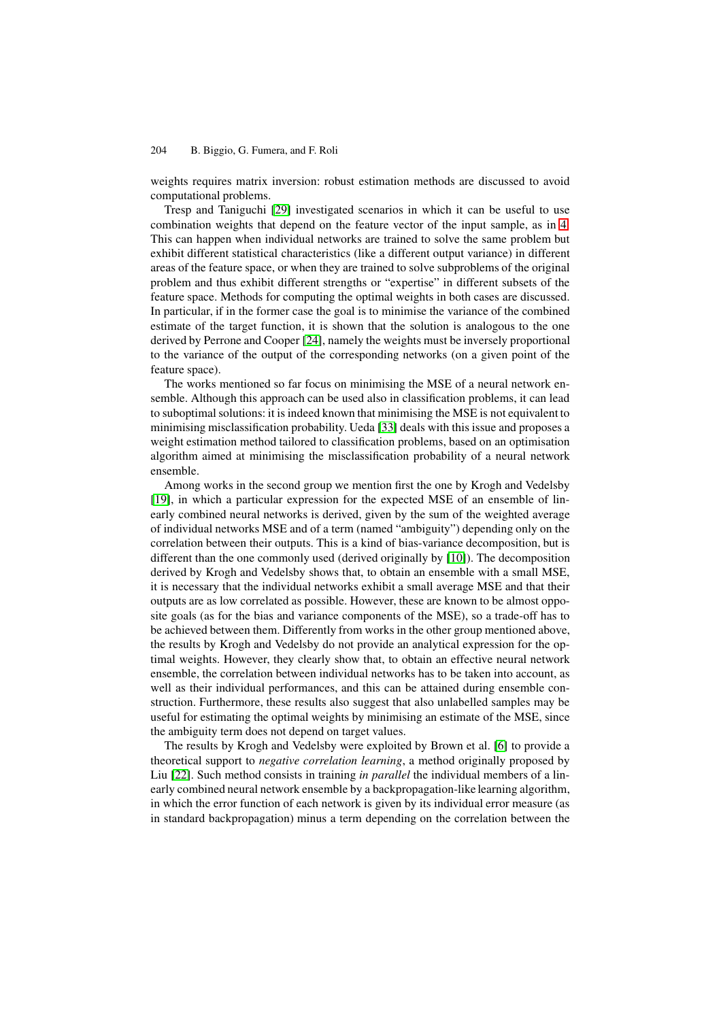weights requires matrix inversion: robust estimation methods are discussed to avoid computational problems.

Tresp and Taniguchi [29] investigated scenarios in which it can be useful to use combination weights that depend on the feature vector of the input sample, as in 4. This can happen when individual networks are trained to solve the same problem but exhibit different statistical characteristics (like a different output variance) in different areas of the feature space[, or](#page-29-10) when they are trained to solve subproblems of the original problem and thus exhibit different strengths or "expertise" in different subsets of t[he](#page-1-1) feature space. Methods for computing the optimal weights in both cases are discussed. In particular, if in the former case the goal is to minimise the variance of the combined estimate of the target function, it is shown that the solution is analogous to the one derived by Perrone and Cooper [24], namely the weights must be inversely proportional to the variance of the output of the corresponding networks (on a given point of the feature space).

The works mentioned so far focus on minimising the MSE of a neural network ensemble. Although this approach [can](#page-29-9) be used also in classification problems, it can lead to suboptimal solutions: it is indeed known that minimising the MSE is not equivalent to minimising misclassification probability. Ueda [33] deals with this issue and proposes a weight estimation method tailored to classification problems, based on an optimisation algorithm aimed at minimising the misclassification probability of a neural network ensemble.

Among works in the second group we menti[on fi](#page-29-8)rst the one by Krogh and Vedelsby [19], in which a particular expression for the expected MSE of an ensemble of linearly combined neural networks is derived, given by the sum of the weighted average of individual networks MSE and of a term (named "ambiguity") depending only on the correlation between their outputs. This is a kind of bias-variance decomposition, but is [diffe](#page-28-10)rent than the one commonly used (derived originally by [10]). The decomposition derived by Krogh and Vedelsby shows that, to obtain an ensemble with a small MSE, it is necessary that the individual networks exhibit a small average MSE and that their outputs are as low correlated as possible. However, these are known to be almost opposite goals (as for the bias and variance components of the M[SE\)](#page-28-11), so a trade-off has to be achieved between them. Differently from works in the other group mentioned above, the results by Krogh and Vedelsby do not provide an analytical expression for the optimal weights. However, they clearly show that, to obtain an effective neural network ensemble, the correlation between individual networks has to be taken into account, as well as their individual performances, and this can be attained during ensemble construction. Furthermore, these results also suggest that also unlabelled samples may be useful for estimating the optimal weights by minimising an estimate of the MSE, since the ambiguity term does not depend on target values.

The results by Krogh and Vedelsby were exploited by Brown et al. [6] to provide a theoretical support to *negative correlation learning*, a method originally proposed by Liu [22]. Such method consists in training *in parallel* the individual members of a linearly combined neural network ensemble by a backpropagation-like learning algorithm, in which the error function of each network is given by its individual er[ro](#page-28-12)r measure (as in standard backpropagation) minus a term depending on the correlation between the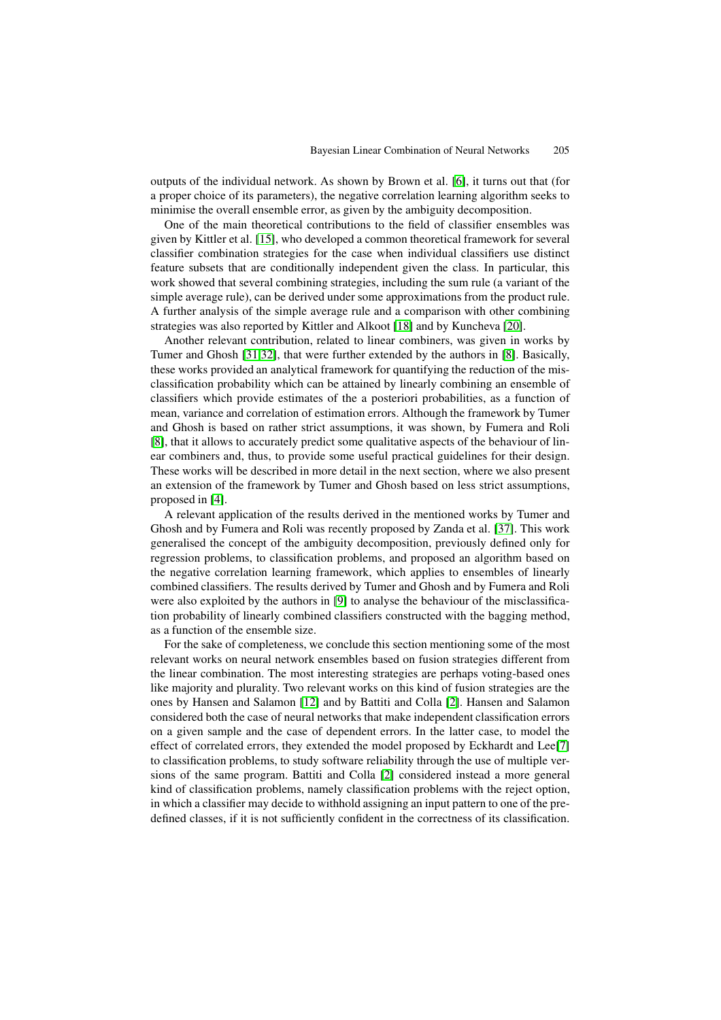outputs of the individual network. As shown by Brown et al. [6], it turns out that (for a proper choice of its parameters), the negative correlation learning algorithm seeks to minimise the overall ensemble error, as given by the ambiguity decomposition.

One of the main theoretical contributions to the field of classifier ensembles was given by Kittler et al. [15], who developed a common theoretic[al](#page-28-12) framework for several classifier combination strategies for the case when individual classifiers use distinct feature subsets that are conditionally independent given the class. In particular, this work showed that several combining strategies, including the sum rule (a variant of the simple average rule), [can](#page-28-13) be derived under some approximations from the product rule. A further analysis of the simple average rule and a comparison with other combining strategies was also reported by Kittler and Alkoot [18] and by Kuncheva [20].

Another relevant contribution, related to linear combiners, was given in works by Tumer and Ghosh [31,32], that were further extended by the authors in [8]. Basically, these works provided an analytical framework for quantifying the reduction of the misclassification probability which can be attained by [lin](#page-28-14)early combining a[n en](#page-28-15)semble of classifiers which provide estimates of the a posteriori probabilities, as a function of mean, variance and [co](#page-29-5)[rrel](#page-29-6)ation of estimation errors. Although the frame[wor](#page-28-4)k by Tumer and Ghosh is based on rather strict assumptions, it was shown, by Fumera and Roli [8], that it allows to accurately predict some qualitative aspects of the behaviour of linear combiners and, thus, to provide some useful practical guidelines for their design. These works will be described in more detail in the next section, where we also present an extension of the framework by Tumer and Ghosh based on less strict assumptions, [pro](#page-28-4)posed in [4].

A relevant application of the results derived in the mentioned works by Tumer and Ghosh and by Fumera and Roli was recently proposed by Zanda et al. [37]. This work generalised the concept of the ambiguity decomposition, previously defined only for regression p[rob](#page-28-5)lems, to classification problems, and proposed an algorithm based on the negative correlation learning framework, which applies to ensembles of linearly combined classifiers. The results derived by Tumer and Ghosh and by F[ume](#page-29-7)ra and Roli were also exploited by the authors in [9] to analyse the behaviour of the misclassification probability of linearly combined classifiers constructed with the bagging method, as a function of the ensemble size.

For the sake of completeness, we conclude this section mentioning some of the most relevant works on neural network ens[em](#page-28-6)bles based on fusion strategies different from the linear combination. The most interesting strategies are perhaps voting-based ones like majority and plurality. Two relevant works on this kind of fusion strategies are the ones by Hansen and Salamon [12] and by Battiti and Colla [2]. Hansen and Salamon considered both the case of neural networks that make independent classification errors on a given sample and the case of dependent errors. In the latter case, to model the effect of correlated errors, they extended the model proposed by Eckhardt and Lee[7] to classification problems, to st[udy](#page-28-16) software reliability throu[gh](#page-28-17) the use of multiple versions of the same program. Battiti and Colla [2] considered instead a more general kind of classification problems, namely classification problems with the reject option, in which a classifier may decide to withhold assigning an input pattern to one of the p[re](#page-28-18)defined classes, if it is not sufficiently confident in the correctness of its classification.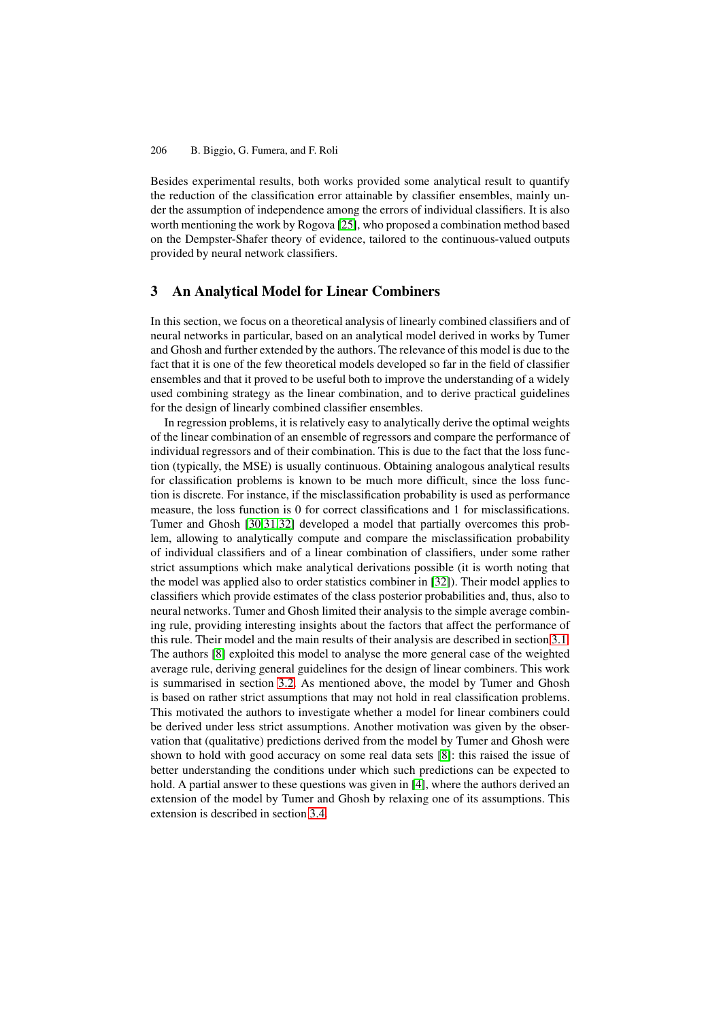Besides experimental results, both works provided some analytical result to quantify the reduction of the classification error attainable by classifier ensembles, mainly under the assumption of independence among the errors of individual classifiers. It is also worth mentioning the work by Rogova [25], who proposed a combination method based on the Dempster-Shafer theory of evidence, tailored to the continuous-valued outputs provided by neural network classifiers.

## **3 An Analytical Model for Li[ne](#page-29-11)ar Combiners**

In this section, we focus on a theoretical analysis of linearly combined classifiers and of neural networks in particular, based on an analytical model derived in works by Tumer and Ghosh and further extended by the authors. The relevance of this model is due to the fact that it is one of the few theoretical models developed so far in the field of classifier ensembles and that it proved to be useful both to improve the understanding of a widely used combining strategy as the linear combination, and to derive practical guidelines for the design of linearly combined classifier ensembles.

In regression problems, it is relatively easy to analytically derive the optimal weights of the linear combination of an ensemble of regressors and compare the performance of individual regressors and of their combination. This is due to the fact that the loss function (typically, the MSE) is usually continuous. Obtaining analogous analytical results for classification problems is known to be much more difficult, since the loss function is discrete. For instance, if the misclassification probability is used as performance measure, the loss function is 0 for correct classifications and 1 for misclassifications. Tumer and Ghosh [30,31,32] developed a model that partially overcomes this problem, allowing to analytically compute and compare the misclassification probability of individual classifiers and of a linear combination of classifiers, under some rather strict assumptions which make analytical derivations possible (it is worth noting that the model was appl[ied](#page-29-12) [als](#page-29-5)[o to](#page-29-6) order statistics combiner in [32]). Their model applies to classifiers which provide estimates of the class posterior probabilities and, thus, also to neural networks. Tumer and Ghosh limited their analysis to the simple average combining rule, providing interesting insights about the factors that affect the performance of this rule. Their model and the main results of their analysis [are](#page-29-6) described in section 3.1. The authors [8] exploited this model to analyse the more general case of the weighted average rule, deriving general guidelines for the design of linear combiners. This work is summarised in section 3.2. As mentioned above, the model by Tumer and Ghosh is based on rather strict assumptions that may not hold in real classification probl[ems.](#page-6-0) This motivat[ed](#page-28-4) the authors to investigate whether a model for linear combiners could be derived under less strict assumptions. Another motivation was given by the observation that (qualitative) pr[edic](#page-10-0)tions derived from the model by Tumer and Ghosh were shown to hold with good accuracy on some real data sets [8]: this raised the issue of better understanding the conditions under which such predictions can be expected to hold. A partial answer to these questions was given in [4], where the authors derived an extension of the model by Tumer and Ghosh by relaxing one of its assumptions. This extension is described in section 3.4.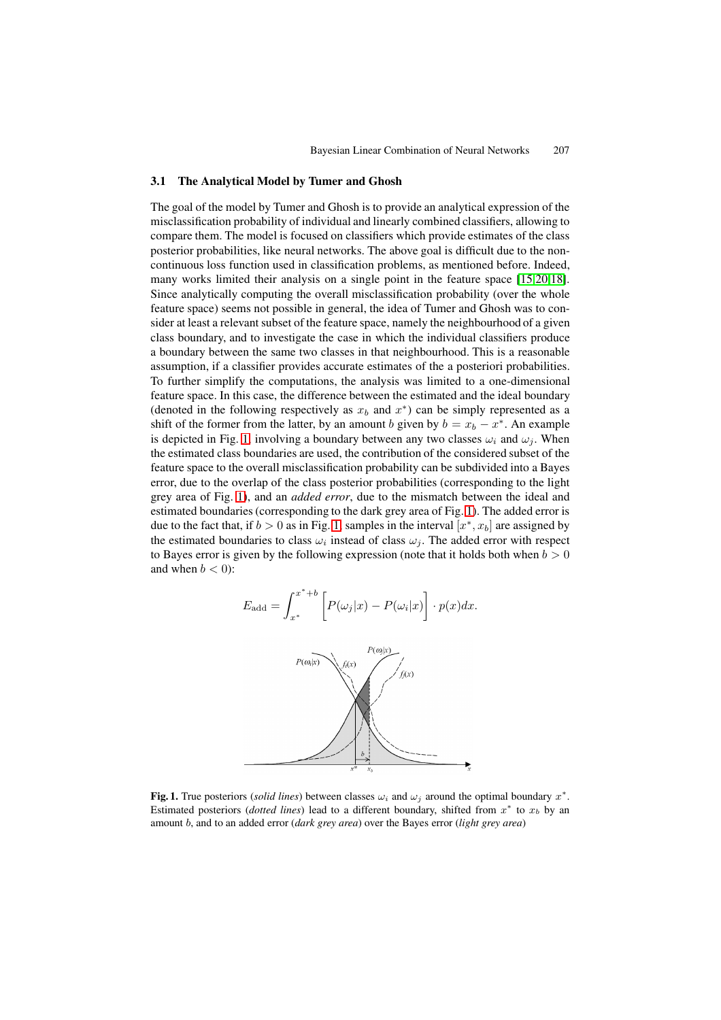## **3.1 The Analytical Model by Tumer and Ghosh**

<span id="page-6-0"></span>The goal of the model by Tumer and Ghosh is to provide an analytical expression of the misclassification probability of individual and linearly combined classifiers, allowing to compare them. The model is focused on classifiers which provide estimates of the class posterior probabilities, like neural networks. The above goal is difficult due to the noncontinuous loss function used in classification problems, as mentioned before. Indeed, many works limited their analysis on a single point in the feature space [15,20,18]. Since analytically computing the overall misclassification probability (over the whole feature space) seems not possible in general, the idea of Tumer and Ghosh was to consider at least a relevant subset of the feature space, namely the neighbourhood of a given class boundary, and to investigate the case in which the individual classifie[rs](#page-28-13) [pro](#page-28-15)[duc](#page-28-14)e a boundary between the same two classes in that neighbourhood. This is a reasonable assumption, if a classifier provides accurate estimates of the a posteriori probabilities. To further simplify the computations, the analysis was limited to a one-dimensional feature space. In this case, the difference between the estimated and the ideal boundary (denoted in the following respectively as  $x<sub>b</sub>$  and  $x<sup>*</sup>$ ) can be simply represented as a shift of the former from the latter, by an amount b given by  $b = x_b - x^*$ . An example is depicted in Fig. 1, involving a boundary between any two classes  $\omega_i$  and  $\omega_j$ . When the estimated class boundaries are used, the contribution of the considered subset of the feature space to the overall misclassification probability can be subdivided into a Bayes error, due to the overlap of the class posterior probabilities (corresponding to the light grey area of Fig. [1\),](#page-6-1) and an *added error*, due to the mismatch between the ideal and estimated boundaries (corresponding to the dark grey area of Fig. 1). The added error is due to the fact that, if  $b > 0$  as in Fig. 1, samples in the interval  $[x^*, x_b]$  are assigned by the estimated boundaries to class  $\omega_i$  instead of class  $\omega_i$ . The added error with respect to Bayes error is [giv](#page-6-1)en by the following expression (note that it holds both when  $b > 0$ and when  $b < 0$ :



<span id="page-6-1"></span>**Fig. 1.** True posteriors (*solid lines*) between classes  $\omega_i$  and  $\omega_j$  around the optimal boundary  $x^*$ . Estimated posteriors (*dotted lines*) lead to a different boundary, shifted from  $x^*$  to  $x_b$  by an amount b, and to an added error (*dark grey area*) over the Bayes error (*light grey area*)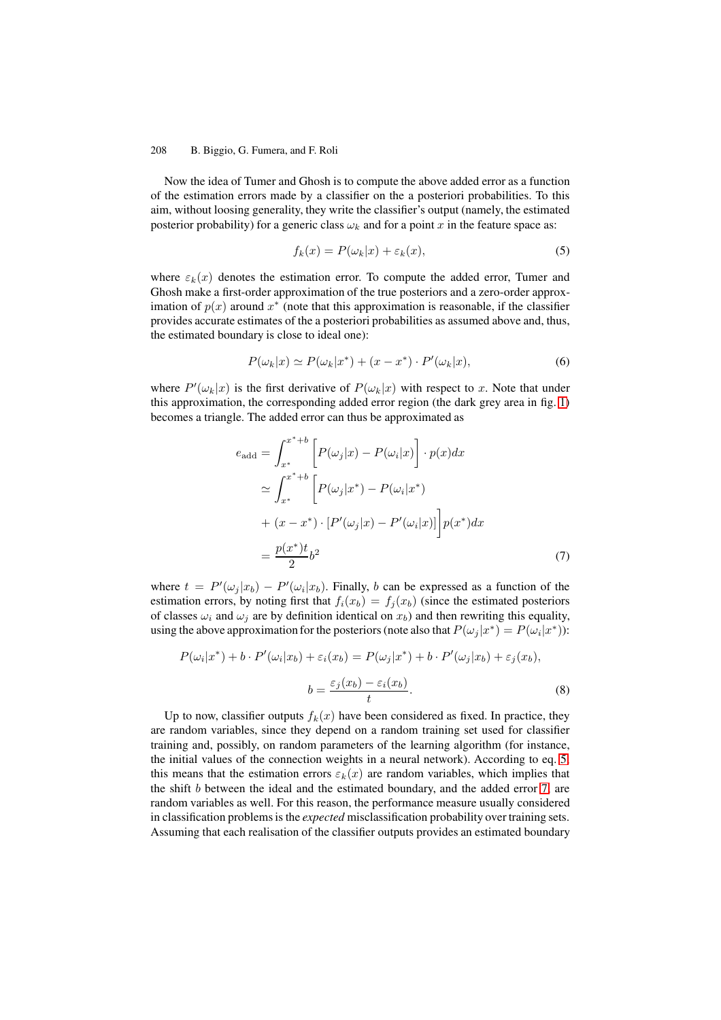Now the idea of Tumer and Ghosh is to compute the above added error as a function of the estimation errors made by a classifier on the a posteriori probabilities. To this aim, without loosing generality, they write the classifier's output (namely, the estimated posterior probability) for a generic class  $\omega_k$  and for a point x in the feature space as:

<span id="page-7-0"></span>
$$
f_k(x) = P(\omega_k|x) + \varepsilon_k(x),\tag{5}
$$

where  $\varepsilon_k(x)$  denotes the estimation error. To compute the added error, Tumer and Ghosh make a first-order approximation of the true posteriors and a zero-order approximation of  $p(x)$  around  $x^*$  (note that this approximation is reasonable, if the classifier provides accurate estimates of the a posteriori probabilities as assumed above and, thus, the estimated boundary is close to ideal one):

$$
P(\omega_k|x) \simeq P(\omega_k|x^*) + (x - x^*) \cdot P'(\omega_k|x), \tag{6}
$$

where  $P'(\omega_k|x)$  is the first derivative of  $P(\omega_k|x)$  with respect to x. Note that under this approximation, the corresponding added error region (the dark grey area in fig. 1) becomes a triangle. The added error can thus be approximated as

<span id="page-7-1"></span>
$$
e_{\text{add}} = \int_{x^*}^{x^*+b} \left[ P(\omega_j | x) - P(\omega_i | x) \right] \cdot p(x) dx
$$
  
\n
$$
\simeq \int_{x^*}^{x^*+b} \left[ P(\omega_j | x^*) - P(\omega_i | x^*) \right]
$$
  
\n
$$
+ (x - x^*) \cdot \left[ P'(\omega_j | x) - P'(\omega_i | x) \right] p(x^*) dx
$$
  
\n
$$
= \frac{p(x^*)t}{2} b^2 \tag{7}
$$

where  $t = P'(\omega_j | x_b) - P'(\omega_i | x_b)$ . Finally, b can be expressed as a function of the estimation errors, by noting first that  $f_i(x_b) = f_i(x_b)$  (since the estimated posteriors of classes  $\omega_i$  and  $\omega_j$  are by definition identical on  $x_b$ ) and then rewriting this equality, using the above approximation for the posteriors (note also that  $P(\omega_i | x^*) = P(\omega_i | x^*)$ ):

$$
P(\omega_i|x^*) + b \cdot P'(\omega_i|x_b) + \varepsilon_i(x_b) = P(\omega_j|x^*) + b \cdot P'(\omega_j|x_b) + \varepsilon_j(x_b),
$$

$$
b = \frac{\varepsilon_j(x_b) - \varepsilon_i(x_b)}{t}.
$$
(8)

Up to now, classifier outputs  $f_k(x)$  have been considered as fixed. In practice, they are random variables, since they depend on a random training set used for classifier training and, possibly, on random parameters of the learning algorithm (for instance, the initial values of the connection weights in a neural network). According to eq. 5, this means that the estimation errors  $\varepsilon_k(x)$  are random variables, which implies that the shift  $b$  between the ideal and the estimated boundary, and the added error  $7$ , are random variables as well. For this reason, the performance measure usually considered in classification problems is the *expected* misclassification probability over training se[ts.](#page-7-0) Assuming that each realisation of the classifier outputs provides an estimated boundary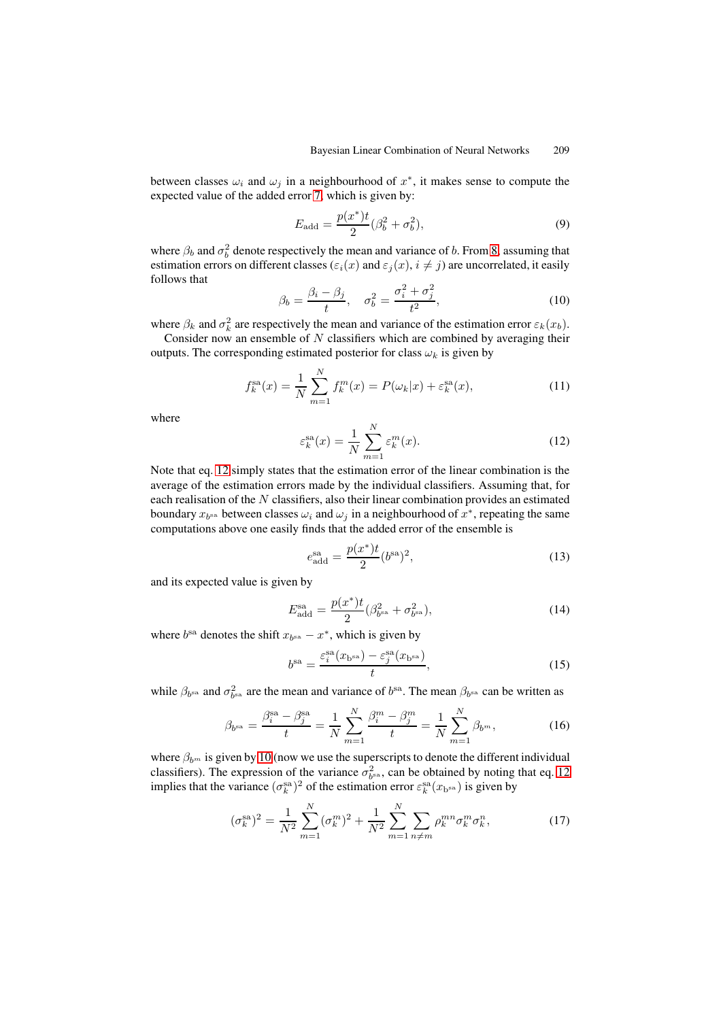between classes  $\omega_i$  and  $\omega_j$  in a neighbourhood of  $x^*$ , it makes sense to compute the expected value of the added error 7, which is given by:

$$
E_{\rm add} = \frac{p(x^*)t}{2} (\beta_b^2 + \sigma_b^2),
$$
\n(9)

where  $\beta_b$  and  $\sigma_b^2$  denote respectiv[ely](#page-7-1) the mean and variance of b. From 8, assuming that estimation errors on different classes ( $\varepsilon_i(x)$  and  $\varepsilon_j(x)$ ,  $i \neq j$ ) are uncorrelated, it easily follows that

<span id="page-8-4"></span>
$$
\beta_b = \frac{\beta_i - \beta_j}{t}, \quad \sigma_b^2 = \frac{\sigma_i^2 + \sigma_j^2}{t^2},\tag{10}
$$

where  $\beta_k$  and  $\sigma_k^2$  are respectively the mean and variance of the estimation error  $\varepsilon_k(x_b)$ .

Consider now an ensemble of  $N$  classifiers which are combined by averaging their outputs. The corresponding estimated posterior for class  $\omega_k$  is given by

<span id="page-8-1"></span>
$$
f_k^{\rm sa}(x) = \frac{1}{N} \sum_{m=1}^{N} f_k^m(x) = P(\omega_k | x) + \varepsilon_k^{\rm sa}(x), \tag{11}
$$

where

$$
\varepsilon_k^{\text{sa}}(x) = \frac{1}{N} \sum_{m=1}^{N} \varepsilon_k^m(x). \tag{12}
$$

Note that eq. 12 simply states that the estimation error of the linear combination is the average of the estimation errors made by the individual classifiers. Assuming that, for each realisation of the  $N$  classifiers, also their linear combination provides an estimated boundary  $x_{b^{sa}}$  between classes  $\omega_i$  and  $\omega_j$  in a neighbourhood of  $x^*$ , repeating the same computation[s abo](#page-8-0)ve one easily finds that the added error of the ensemble is

<span id="page-8-0"></span>
$$
e_{\text{add}}^{\text{sa}} = \frac{p(x^*)t}{2} (b^{\text{sa}})^2,\tag{13}
$$

and its expected value is given by

<span id="page-8-3"></span>
$$
E_{\rm add}^{\rm sa} = \frac{p(x^*)t}{2} (\beta_{b^{\rm sa}}^2 + \sigma_{b^{\rm sa}}^2),\tag{14}
$$

where  $b^{sa}$  denotes the shift  $x_{b^{sa}} - x^*$ , which is given by

<span id="page-8-5"></span>
$$
b^{\rm sa} = \frac{\varepsilon_i^{\rm sa}(x_{\rm b^{\rm sa}}) - \varepsilon_j^{\rm sa}(x_{\rm b^{\rm sa}})}{t},\tag{15}
$$

while  $\beta_{b^{sa}}$  and  $\sigma_{b^{sa}}^2$  are the mean and variance of  $b^{sa}$ . The mean  $\beta_{b^{sa}}$  can be written as

<span id="page-8-2"></span>
$$
\beta_{b^{\rm sa}} = \frac{\beta_i^{\rm sa} - \beta_j^{\rm sa}}{t} = \frac{1}{N} \sum_{m=1}^{N} \frac{\beta_i^m - \beta_j^m}{t} = \frac{1}{N} \sum_{m=1}^{N} \beta_{b^m},\tag{16}
$$

where  $\beta_{b^m}$  is given by 10 (now we use the superscripts to denote the different individual classifiers). The expression of the variance  $\sigma_{b^{\text{sa}}}^2$ , can be obtained by noting that eq. 12 implies that the variance  $(\sigma_k^{\text{sa}})^2$  of the estimation error  $\varepsilon_k^{\text{sa}}(x_{\text{b}^{\text{sa}}})$  is given by

<span id="page-8-6"></span>
$$
(\sigma_k^{\text{sa}})^2 = \frac{1}{N^2} \sum_{m=1}^{N} (\sigma_k^m)^2 + \frac{1}{N^2} \sum_{m=1}^{N} \sum_{n \neq m} \rho_k^{mn} \sigma_k^m \sigma_k^n, \tag{17}
$$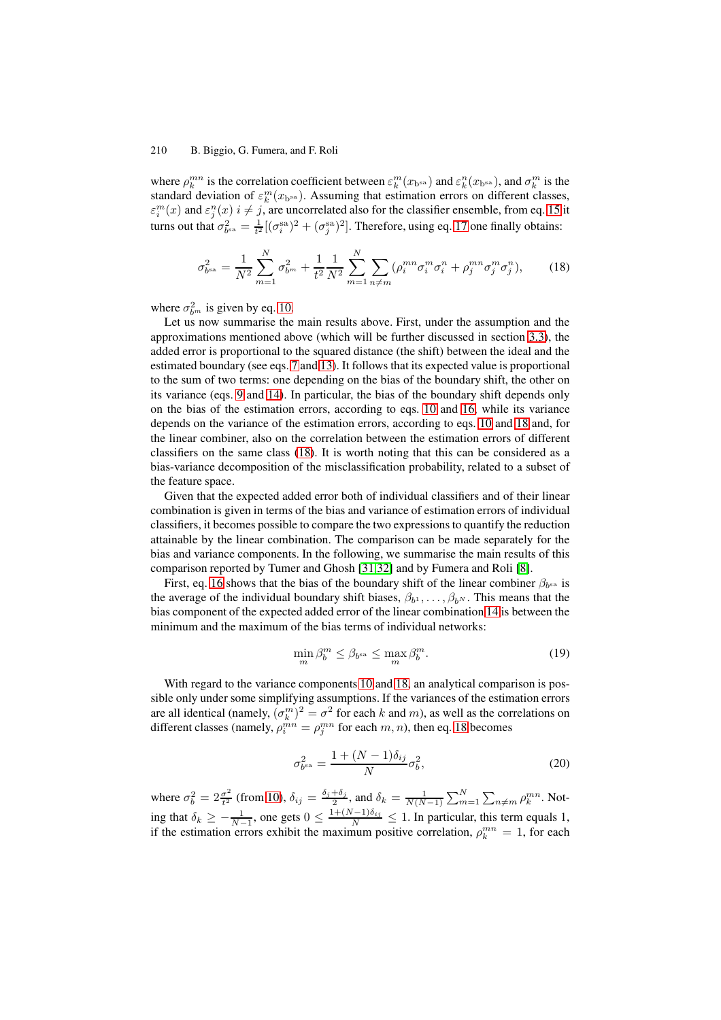where  $\rho_k^{mn}$  is the correlation coefficient between  $\varepsilon_k^m(x_{b^{\text{sa}}})$  and  $\varepsilon_k^n(x_{b^{\text{sa}}})$ , and  $\sigma_k^m$  is the standard deviation of  $\varepsilon_k^m(x_{\text{bsa}})$ . Assuming that estimation errors on different classes,  $\varepsilon_i^m(x)$  and  $\varepsilon_j^n(x)$   $i \neq j$ , are uncorrelated also for the classifier ensemble, from eq. 15 it turns out that  $\sigma_{b^{sa}}^2 = \frac{1}{t^2} [(\sigma_i^{sa})^2 + (\sigma_j^{sa})^2]$ . Therefore, using eq. 17 one finally obtains:

$$
\sigma_{b^{\rm sa}}^2 = \frac{1}{N^2} \sum_{m=1}^N \sigma_{b^m}^2 + \frac{1}{t^2} \frac{1}{N^2} \sum_{m=1}^N \sum_{n \neq m} (\rho_i^{mn} \sigma_i^m \sigma_i^n + \rho_j^{mn} \sigma_j^m \sigma_j^n), \tag{18}
$$

where  $\sigma_{b^m}^2$  is given by eq. 10.

<span id="page-9-0"></span>Let us now summarise the main results above. First, under the assumption and the approximations mentioned above (which will be further discussed in section 3.3), the added error is proportional to the squared distance (the shift) between the ideal and the estimated boundary (see e[qs. 7](#page-8-1) and 13). It follows that its expected value is proportional to the sum of two terms: one depending on the bias of the boundary shift, the other on its variance (eqs. 9 and 14). In particular, the bias of the boundary shift depe[nds](#page-15-0) only on the bias of the estimation errors, according to eqs. 10 and 16, while its variance depends on the variance of t[he](#page-7-1) est[ima](#page-8-3)tion errors, according to eqs. 10 and 18 and, for the linear combiner, also on the correlation between the estimation errors of different classifiers on the [sa](#page-8-4)me [clas](#page-8-5)s (18). It is worth noting that this can be considered as a bias-variance decomposition of the misclassification pr[obab](#page-8-1)ilit[y, re](#page-8-6)lated to a subset of the feature space.

Given that the expected added error both of individual classifiers and of their linear combination is given in terms [of t](#page-9-0)he bias and variance of estimation errors of individual classifiers, it becomes possible to compare the two expressions to quantify the reduction attainable by the linear combination. The comparison can be made separately for the bias and variance components. In the following, we summarise the main results of this comparison reported by Tumer and Ghosh [31,32] and by Fumera and Roli [8].

First, eq. 16 shows that the bias of the boundary shift of the linear combiner  $\beta_{b^{sa}}$  is the average of the individual boundary shift biases,  $\beta_{b_1}, \ldots, \beta_{b_N}$ . This means that the bias component of the expected added error of the linear combination 14 is between the minimum and the maximum of the bias ter[ms](#page-29-5) [of i](#page-29-6)ndividual networks:

$$
\min_{m} \beta_b^m \le \beta_{b^{\text{sa}}} \le \max_{m} \beta_b^m. \tag{19}
$$

With regard to the variance components 10 and 18, an analytical comparison is possible only under some simplifying assumptions. If the variances of the estimation errors are all identical (namely,  $(\sigma_k^m)^2 = \sigma^2$  for each k and m), as well as the correlations on different classes (namely,  $\rho_i^{mn} = \rho_j^{mn}$  for each  $m, n$ ), then eq. 18 becomes

$$
\sigma_{b^{\rm sa}}^2 = \frac{1 + (N - 1)\delta_{ij}}{N}\sigma_b^2,\tag{20}
$$

where  $\sigma_b^2 = 2 \frac{\sigma^2}{t^2}$  (from 10),  $\delta_{ij} = \frac{\delta_j + \delta_j}{2}$ , and  $\delta_k = \frac{1}{N(N-1)} \sum_{m=1}^N \sum_{n \neq m} \rho_k^{mn}$  $\delta_k = \frac{1}{N(N-1)} \sum_{m=1}^N \sum_{n \neq m} \rho_k^{mn}$  $\delta_k = \frac{1}{N(N-1)} \sum_{m=1}^N \sum_{n \neq m} \rho_k^{mn}$ . Noting that  $\delta_k \geq -\frac{1}{N-1}$ , one gets  $0 \leq \frac{1+(N-1)\delta_{ij}}{N} \leq 1$ . In particular, this term equals 1, if the estimation errors exhibit the maximum positive correlation,  $\rho_k^{mn} = 1$ , for each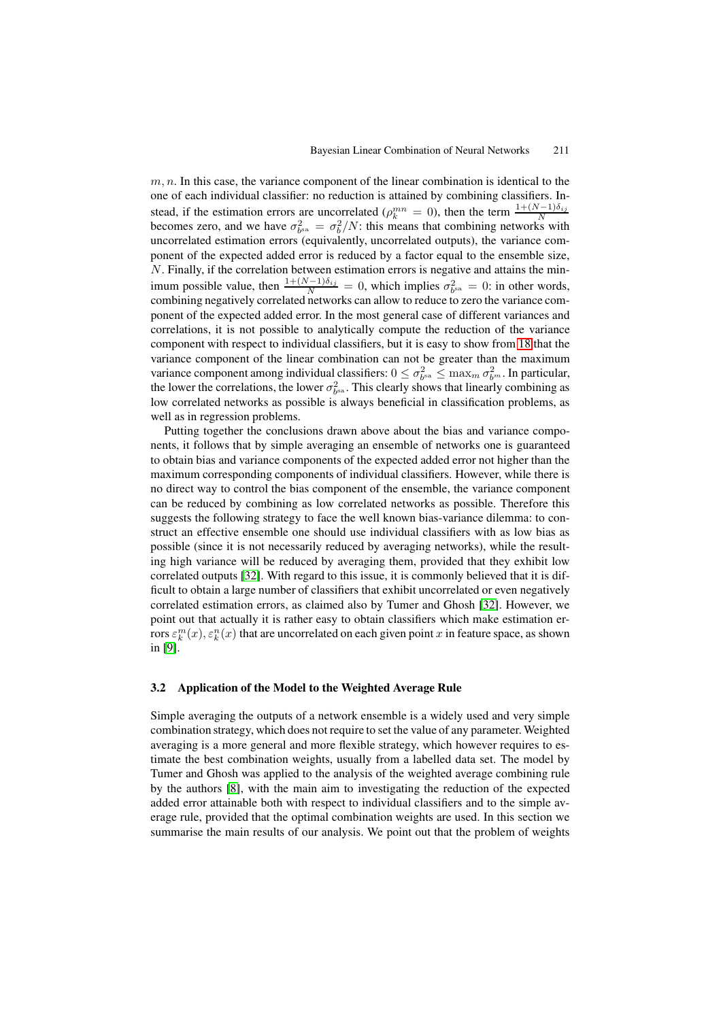$m, n$ . In this case, the variance component of the linear combination is identical to the one of each individual classifier: no reduction is attained by combining classifiers. Instead, if the estimation errors are uncorrelated ( $\rho_k^{mn} = 0$ ), then the term  $\frac{1 + (N-1)\delta_{ij}}{N}$  becomes zero, and we have  $\sigma_{b^{\text{sa}}}^2 = \sigma_b^2/N$ : this means that combining networks with uncorrelated estimation errors (equivalently, uncorrelated outputs), the variance component of the expected added error is reduced by a factor equal to the ensemble size,  $N$ . Finally, if the correlation between estimation errors is negative and attains the minimum possible value, then  $\frac{1+(N-1)\delta_{ij}}{N} = 0$ , which implies  $\sigma_{b^{\text{sa}}}^2 = 0$ : in other words, combining negatively correlated networks can allow to reduce to zero the variance component of the expected added error. In the most general case of different variances and correlations, it is not possible to analytically compute the reduction of the variance component with respect to individual classifiers, but it is easy to show from 18 that the variance component of the linear combination can not be greater than the maximum variance component among individual classifiers:  $0 \leq \sigma_{b^{\text{sa}}}^2 \leq \max_m \sigma_{b^m}^2$ . In particular, the lower the correlations, the lower  $\sigma_{b^{\text{sa}}}^2$ . This clearly shows that linearly combining as low correlated networks as possible is always beneficial in classification p[robl](#page-9-0)ems, as well as in regression problems.

Putting together the conclusions drawn above about the bias and variance components, it follows that by simple averaging an ensemble of networks one is guaranteed to obtain bias and variance components of the expected added error not higher than the maximum corresponding components of individual classifiers. However, while there is no direct way to control the bias component of the ensemble, the variance component can be reduced by combining as low correlated networks as possible. Therefore this suggests the following strategy to face the well known bias-variance dilemma: to construct an effective ensemble one should use individual classifiers with as low bias as possible (since it is not necessarily reduced by averaging networks), while the resulting high variance will be reduced by averaging them, provided that they exhibit low correlated outputs [32]. With regard to this issue, it is commonly believed that it is difficult to obtain a large number of classifiers that exhibit uncorrelated or even negatively correlated estimation errors, as claimed also by Tumer and Ghosh [32]. However, we point out that actually it is rather easy to obtain classifiers which make estimation errors  $\varepsilon_k^m(x), \varepsilon_k^n(x)$  t[hat](#page-29-6) are uncorrelated on each given point x in feature space, as shown in [9].

## **3.2 Application of the Model to the Weighted Average Rule**

<span id="page-10-0"></span>Si[mp](#page-28-6)le averaging the outputs of a network ensemble is a widely used and very simple combination strategy, which does not require to set the value of any parameter. Weighted averaging is a more general and more flexible strategy, which however requires to estimate the best combination weights, usually from a labelled data set. The model by Tumer and Ghosh was applied to the analysis of the weighted average combining rule by the authors [8], with the main aim to investigating the reduction of the expected added error attainable both with respect to individual classifiers and to the simple average rule, provided that the optimal combination weights are used. In this section we summarise the main results of our analysis. We point out that the problem of weights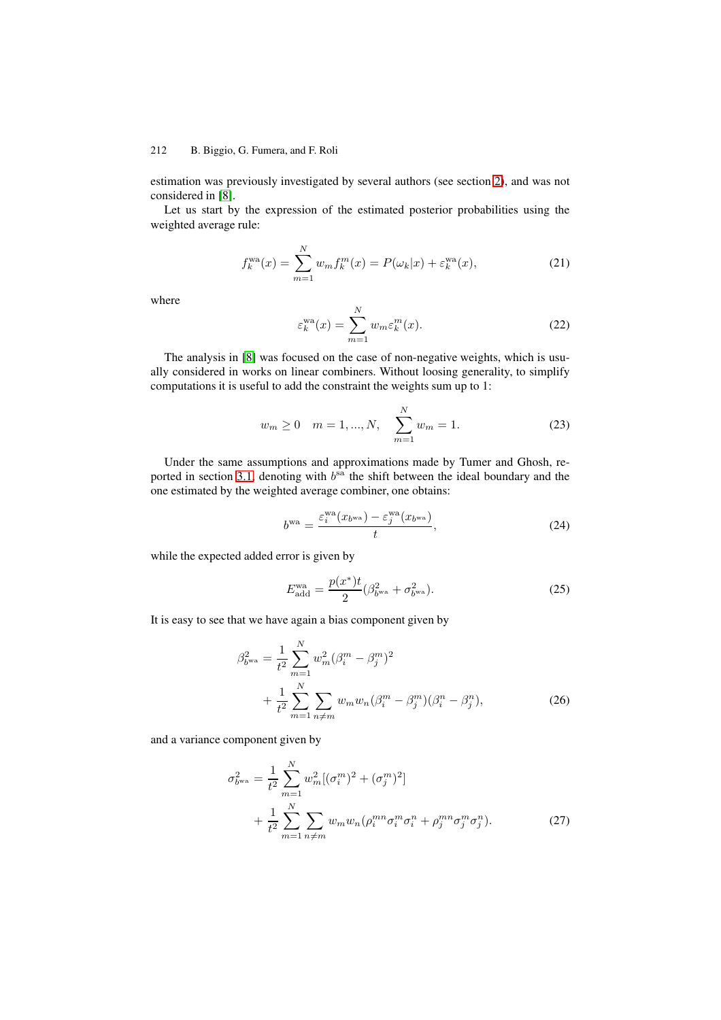estimation was previously investigated by several authors (see section 2), and was not considered in [8].

Let us start by the expression of the estimated posterior probabilities using the weighted average rule:

$$
f_k^{\text{wa}}(x) = \sum_{m=1}^{N} w_m f_k^m(x) = P(\omega_k | x) + \varepsilon_k^{\text{wa}}(x), \tag{21}
$$

where

$$
\varepsilon_k^{\text{wa}}(x) = \sum_{m=1}^N w_m \varepsilon_k^m(x). \tag{22}
$$

The analysis in [8] was focused on the case of non-negative weights, which is usually considered in works on linear combiners. Without loosing generality, to simplify computations it is useful to add the constraint the weights sum up to 1:

$$
w_m \ge 0 \quad m = 1, ..., N, \quad \sum_{m=1}^{N} w_m = 1. \tag{23}
$$

Under the same assumptions and approximations made by Tumer and Ghosh, reported in section 3.1, denoting with  $b^{sa}$  the shift between the ideal boundary and the one estimated by the weighted average combiner, one obtains:

<span id="page-11-1"></span>
$$
b^{\text{wa}} = \frac{\varepsilon_i^{\text{wa}}(x_{b^{\text{wa}}}) - \varepsilon_j^{\text{wa}}(x_{b^{\text{wa}}})}{t}, \tag{24}
$$

while the expected added error is given by

$$
E_{\text{add}}^{\text{wa}} = \frac{p(x^*)t}{2} (\beta_{b^{\text{wa}}}^2 + \sigma_{b^{\text{wa}}}^2). \tag{25}
$$

It is easy to see that we have again a bias component given by

<span id="page-11-0"></span>
$$
\beta_{b^{wa}}^2 = \frac{1}{t^2} \sum_{m=1}^N w_m^2 (\beta_i^m - \beta_j^m)^2 + \frac{1}{t^2} \sum_{m=1}^N \sum_{n \neq m} w_m w_n (\beta_i^m - \beta_j^m) (\beta_i^n - \beta_j^n), \qquad (26)
$$

and a variance component given by

$$
\sigma_{b^{\rm wa}}^2 = \frac{1}{t^2} \sum_{m=1}^N w_m^2 [(\sigma_i^m)^2 + (\sigma_j^m)^2] + \frac{1}{t^2} \sum_{m=1}^N \sum_{n \neq m} w_m w_n (\rho_i^{mn} \sigma_i^m \sigma_i^n + \rho_j^{mn} \sigma_j^m \sigma_j^n).
$$
(27)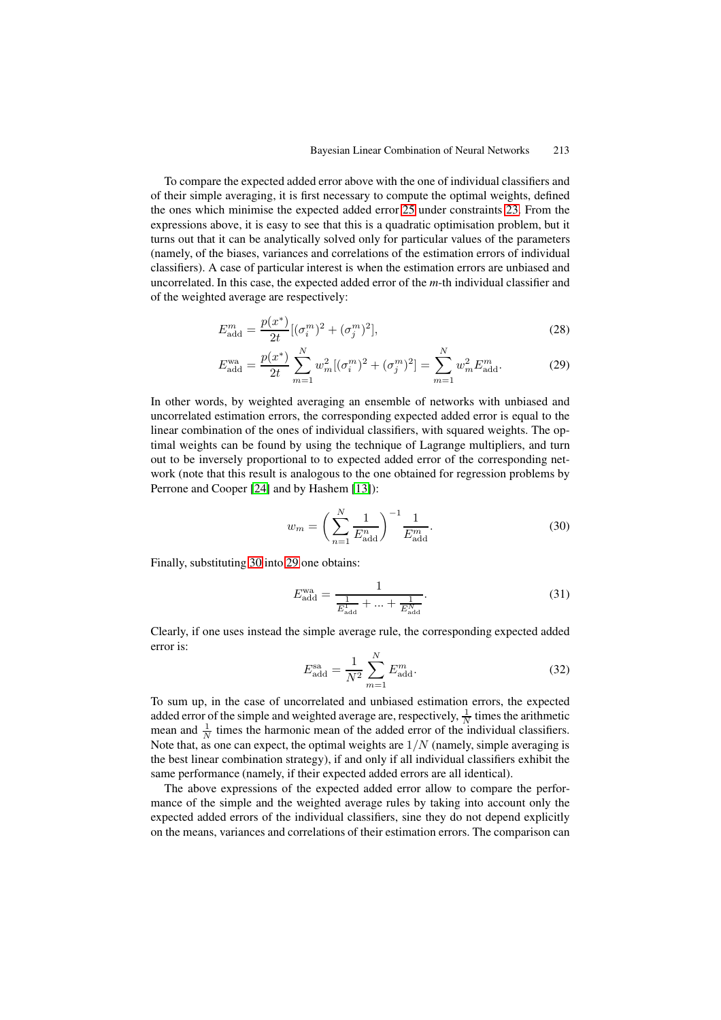#### Bayesian Linear Combination of Neural Networks 213

To compare the expected added error above with the one of individual classifiers and of their simple averaging, it is first necessary to compute the optimal weights, defined the ones which minimise the expected added error 25 under constraints 23. From the expressions above, it is easy to see that this is a quadratic optimisation problem, but it turns out that it can be analytically solved only for particular values of the parameters (namely, of the biases, variances and correlations of the estimation errors of individual classifiers). A case of particular interest is when the [est](#page-11-0)imation errors are [unb](#page-11-1)iased and uncorrelated. In this case, the expected added error of the *m*-th individual classifier and of the weighted average are respectively:

$$
E_{\text{add}}^{m} = \frac{p(x^{*})}{2t} [(\sigma_i^{m})^2 + (\sigma_j^{m})^2], \qquad (28)
$$

<span id="page-12-1"></span>
$$
E_{\text{add}}^{\text{wa}} = \frac{p(x^*)}{2t} \sum_{m=1}^{N} w_m^2 [(\sigma_i^m)^2 + (\sigma_j^m)^2] = \sum_{m=1}^{N} w_m^2 E_{\text{add}}^m.
$$
 (29)

In other words, by weighted averaging an ensemble of networks with unbiased and uncorrelated estimation errors, the corresponding expected added error is equal to the linear combination of the ones of individual classifiers, with squared weights. The optimal weights can be found by using the technique of Lagrange multipliers, and turn out to be inversely proportional to to expected added error of the corresponding network (note that this result is analogous to the one obtained for regression problems by Perrone and Cooper [24] and by Hashem [13]):

$$
w_m = \left(\sum_{n=1}^{N} \frac{1}{E_{\text{add}}^n}\right)^{-1} \frac{1}{E_{\text{add}}^m}.
$$
 (30)

Finally, substituting 30 into 29 one obtains:

<span id="page-12-0"></span>
$$
E_{\text{add}}^{\text{wa}} = \frac{1}{\frac{1}{E_{\text{add}}^{1}} + \dots + \frac{1}{E_{\text{add}}^{N}}}.
$$
\n(31)

Clearly, if one uses [inst](#page-12-0)ead [the](#page-12-1) simple average rule, the corresponding expected added error is:

$$
E_{\text{add}}^{\text{sa}} = \frac{1}{N^2} \sum_{m=1}^{N} E_{\text{add}}^{m}.
$$
 (32)

To sum up, in the case of uncorrelated and unbiased estimation errors, the expected added error of the simple and weighted average are, respectively,  $\frac{1}{N}$  times the arithmetic mean and  $\frac{1}{N}$  times the harmonic mean of the added error of the individual classifiers. Note that, as one can expect, the optimal weights are  $1/N$  (namely, simple averaging is the best linear combination strategy), if and only if all individual classifiers exhibit the same performance (namely, if their expected added errors are all identical).

The above expressions of the expected added error allow to compare the performance of the simple and the weighted average rules by taking into account only the expected added errors of the individual classifiers, sine they do not depend explicitly on the means, variances and correlations of their estimation errors. The comparison can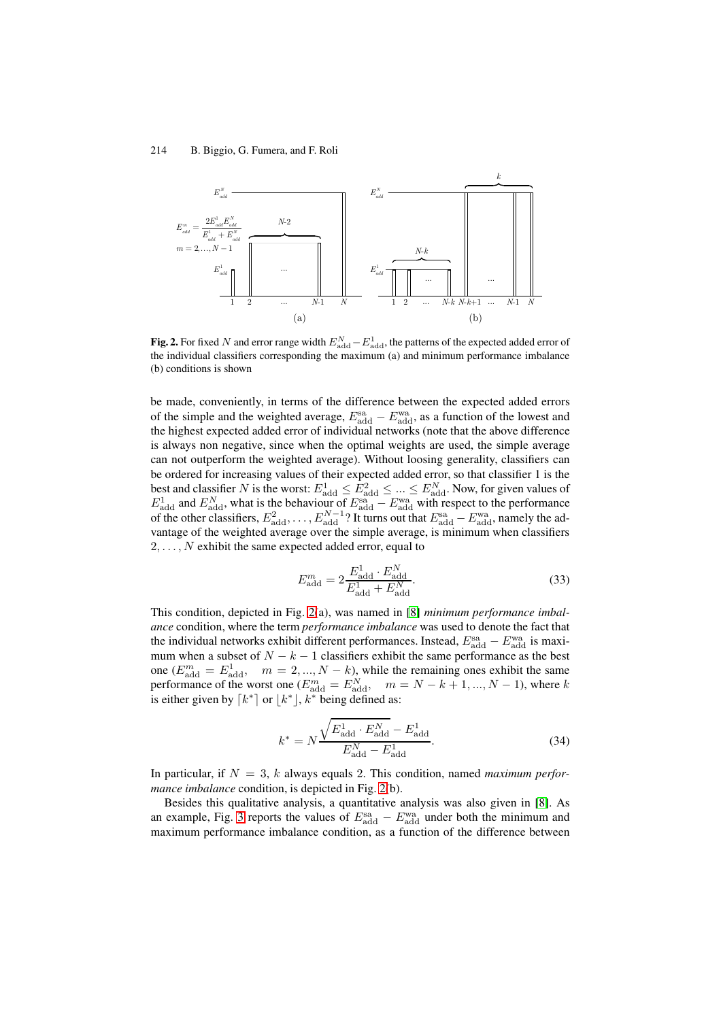

**Fig. 2.** For fixed N and error range width  $E_{\text{add}}^N - E_{\text{add}}^1$ , the patterns of the expected added error of the individual classifiers corresponding the maximum (a) and minimum performance imbalance (b) conditions is shown

<span id="page-13-0"></span>be made, conveniently, in terms of the difference between the expected added errors of the simple and the weighted average,  $E_{\text{add}}^{\text{sa}} - E_{\text{add}}^{\text{wa}}$ , as a function of the lowest and the highest expected added error of individual networks (note that the above difference is always non negative, since when the optimal weights are used, the simple average can not outperform the weighted average). Without loosing generality, classifiers can be ordered for increasing values of their expected added error, so that classifier 1 is the best and classifier N is the worst:  $E_{\text{add}}^1 \leq E_{\text{add}}^2 \leq ... \leq E_{\text{add}}^N$ . Now, for given values of  $E_{\text{add}}^1$  and  $E_{\text{add}}^N$ , what is the behaviour of  $E_{\text{add}}^{\text{sa}} - E_{\text{add}}^{\text{wa}}$  with respect to the performance of the other classifiers,  $E_{\text{add}}^2$ , ...,  $E_{\text{add}}^{N-1}$ ? It turns out that  $E_{\text{add}}^{\text{sa}}$  –  $E_{\text{add}}^{\text{wa}}$ , namely the advantage of the weighted average over the simple average, is minimum when classifiers  $2, \ldots, N$  exhibit the same expected added error, equal to

$$
E_{\text{add}}^{m} = 2 \frac{E_{\text{add}}^{1} \cdot E_{\text{add}}^{N}}{E_{\text{add}}^{1} + E_{\text{add}}^{N}}.
$$
\n(33)

This condition, depicted in Fig. 2(a), was named in [8] *minimum performance imbalance* condition, where the term *performance imbalance* was used to denote the fact that the individual networks exhibit different performances. Instead,  $E_{\text{add}}^{\text{sa}} - E_{\text{add}}^{\text{wa}}$  is maximum when a subset of  $N - k - 1$  classifiers exhibit the same performance as the best one  $(E_{\text{add}}^m = E_{\text{add}}^1, \quad m = 2, ..., N - k)$  $(E_{\text{add}}^m = E_{\text{add}}^1, \quad m = 2, ..., N - k)$  $(E_{\text{add}}^m = E_{\text{add}}^1, \quad m = 2, ..., N - k)$ , while the [re](#page-28-4)maining ones exhibit the same performance of the worst one  $(E_{\text{add}}^m = E_{\text{add}}^N, \quad m = N - k + 1, ..., N - 1)$ , where k is either given by  $\lceil k^* \rceil$  or  $\lfloor k^* \rfloor$ ,  $k^*$  being defined as:

$$
k^* = N \frac{\sqrt{E_{\text{add}}^1 \cdot E_{\text{add}}^N} - E_{\text{add}}^1}{E_{\text{add}}^N - E_{\text{add}}^1}.
$$
 (34)

In particular, if  $N = 3$ , k always equals 2. This condition, named *maximum performance imbalance* condition, is depicted in Fig. 2(b).

Besides this qualitative analysis, a quantitative analysis was also given in [8]. As an example, Fig. 3 reports the values of  $E_{\text{add}}^{\text{sa}} - E_{\text{add}}^{\text{wa}}$  under both the minimum and maximum performance imbalance condition, as a function of the difference between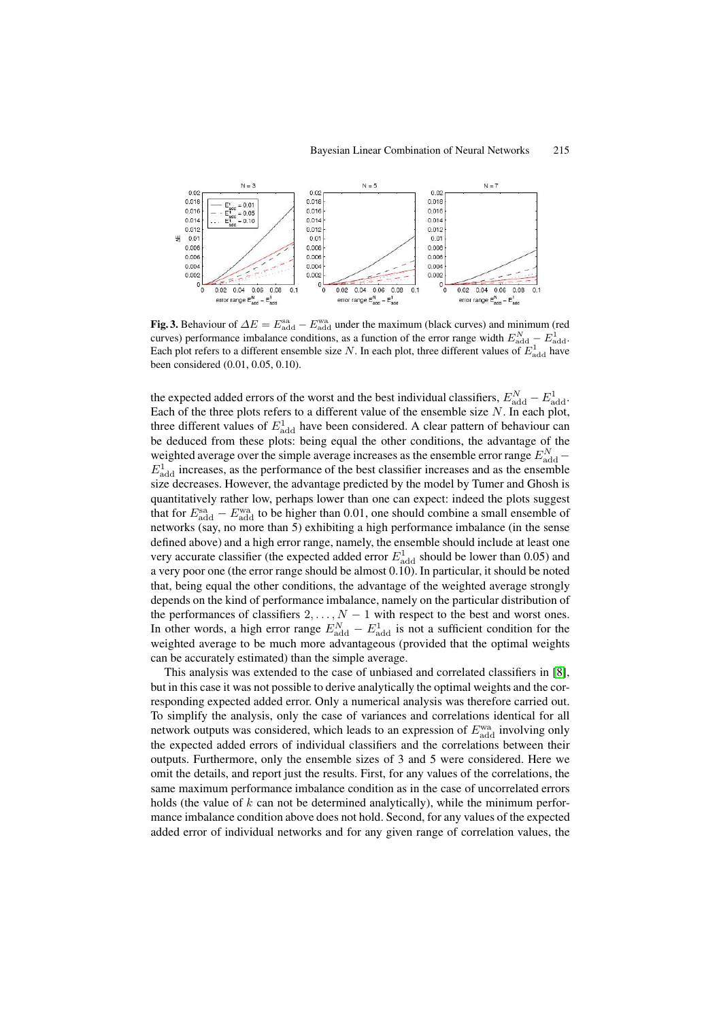#### Bayesian Linear Combination of Neural Networks 215



**Fig. 3.** Behaviour of  $\Delta E = E_{\text{add}}^{\text{sa}} - E_{\text{add}}^{\text{wa}}$  under the maximum (black curves) and minimum (red curves) performance imbalance conditions, as a function of the error range width  $E_{\text{add}}^N - E_{\text{add}}^1$ . Each plot refers to a different ensemble size N. In each plot, three different values of  $E_{\text{add}}^1$  have been considered (0.01, 0.05, 0.10).

the expected added errors of the worst and the best individual classifiers,  $E_{\text{add}}^N - E_{\text{add}}^1$ . Each of the three plots refers to a different value of the ensemble size  $N$ . In each plot, three different values of  $E_{\text{add}}^1$  have been considered. A clear pattern of behaviour can be deduced from these plots: being equal the other conditions, the advantage of the weighted average over the simple average increases as the ensemble error range  $E_{\text{add}}^N$  –  $E_{\text{add}}^1$  increases, as the performance of the best classifier increases and as the ensemble size decreases. However, the advantage predicted by the model by Tumer and Ghosh is quantitatively rather low, perhaps lower than one can expect: indeed the plots suggest that for  $E_{\text{add}}^{\text{sa}} - E_{\text{add}}^{\text{wa}}$  to be higher than 0.01, one should combine a small ensemble of networks (say, no more than 5) exhibiting a high performance imbalance (in the sense defined above) and a high error range, namely, the ensemble should include at least one very accurate classifier (the expected added error  $E_{\text{add}}^1$  should be lower than 0.05) and a very poor one (the error range should be almost 0.10). In particular, it should be noted that, being equal the other conditions, the advantage of the weighted average strongly depends on the kind of performance imbalance, namely on the particular distribution of the performances of classifiers  $2, \ldots, N-1$  with respect to the best and worst ones. In other words, a high error range  $E_{\text{add}}^N - E_{\text{add}}^1$  is not a sufficient condition for the weighted average to be much more advantageous (provided that the optimal weights can be accurately estimated) than the simple average.

This analysis was extended to the case of unbiased and correlated classifiers in [8], but in this case it was not possible to derive analytically the optimal weights and the corresponding expected added error. Only a numerical analysis was therefore carried out. To simplify the analysis, only the case of variances and correlations identical for all network outputs was considered, which leads to an expression of  $E_{\text{add}}^{\text{wa}}$  involving o[nl](#page-28-4)y the expected added errors of individual classifiers and the correlations between their outputs. Furthermore, only the ensemble sizes of 3 and 5 were considered. Here we omit the details, and report just the results. First, for any values of the correlations, the same maximum performance imbalance condition as in the case of uncorrelated errors holds (the value of k can not be determined analytically), while the minimum performance imbalance condition above does not hold. Second, for any values of the expected added error of individual networks and for any given range of correlation values, the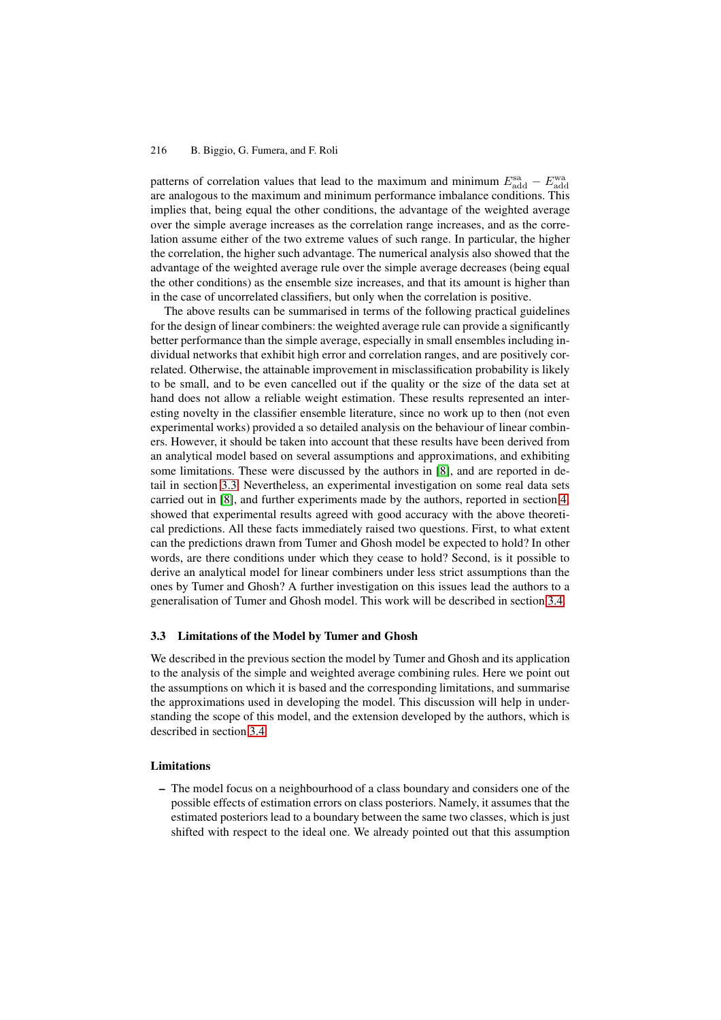patterns of correlation values that lead to the maximum and minimum  $E_{\text{add}}^{\text{sa}} - E_{\text{add}}^{\text{wa}}$ are analogous to the maximum and minimum performance imbalance conditions. This implies that, being equal the other conditions, the advantage of the weighted average over the simple average increases as the correlation range increases, and as the correlation assume either of the two extreme values of such range. In particular, the higher the correlation, the higher such advantage. The numerical analysis also showed that the advantage of the weighted average rule over the simple average decreases (being equal the other conditions) as the ensemble size increases, and that its amount is higher than in the case of uncorrelated classifiers, but only when the correlation is positive.

The above results can be summarised in terms of the following practical guidelines for the design of linear combiners: the weighted average rule can provide a significantly better performance than the simple average, especially in small ensembles including individual networks that exhibit high error and correlation ranges, and are positively correlated. Otherwise, the attainable improvement in misclassification probability is likely to be small, and to be even cancelled out if the quality or the size of the data set at hand does not allow a reliable weight estimation. These results represented an interesting novelty in the classifier ensemble literature, since no work up to then (not even experimental works) provided a so detailed analysis on the behaviour of linear combiners. However, it should be taken into account that these results have been derived from an analytical model based on several assumptions and approximations, and exhibiting some limitations. These were discussed by the authors in [8], and are reported in detail in section 3.3. Nevertheless, an experimental investigation on some real data sets carried out in [8], and further experiments made by the authors, reported in section 4, showed that experimental results agreed with good accuracy with the above theoretical predictions. All these facts immediately raised two que[sti](#page-28-4)ons. First, to what extent can the predic[tion](#page-15-0)s drawn from Tumer and Ghosh model be expected to hold? In other words, are the[re](#page-28-4) conditions under which they cease to hold? Second, is it possible [to](#page-21-0) derive an analytical model for linear combiners under less strict assumptions than the ones by Tumer and Ghosh? A further investigation on this issues lead the authors to a generalisation of Tumer and Ghosh model. This work will be described in section 3.4.

## **3.3 Limitations of the Model by Tumer and Ghosh**

<span id="page-15-0"></span>We described in the previous section the model by Tumer and Ghosh and its applic[atio](#page-17-0)n to the analysis of the simple and weighted average combining rules. Here we point out the assumptions on which it is based and the corresponding limitations, and summarise the approximations used in developing the model. This discussion will help in understanding the scope of this model, and the extension developed by the authors, which is described in section 3.4.

## **Limitations**

**–** The model focu[s on](#page-17-0) a neighbourhood of a class boundary and considers one of the possible effects of estimation errors on class posteriors. Namely, it assumes that the estimated posteriors lead to a boundary between the same two classes, which is just shifted with respect to the ideal one. We already pointed out that this assumption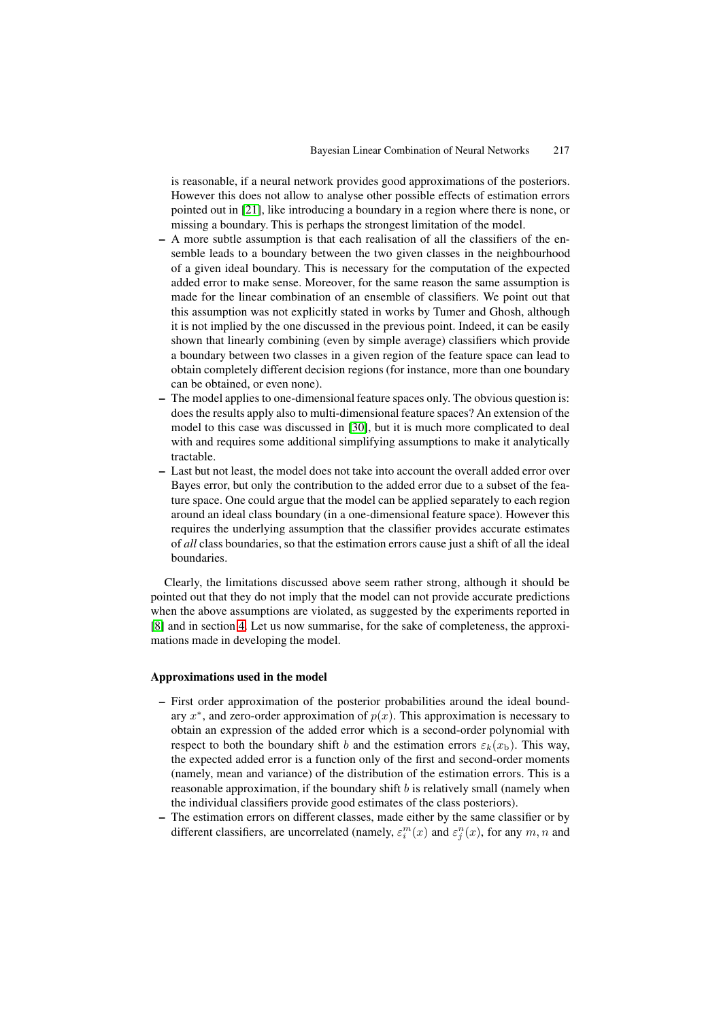is reasonable, if a neural network provides good approximations of the posteriors. However this does not allow to analyse other possible effects of estimation errors pointed out in [21], like introducing a boundary in a region where there is none, or missing a boundary. This is perhaps the strongest limitation of the model.

- **–** A more subtle assumption is that each realisation of all the classifiers of the ensemble leads to a boundary between the two given classes in the neighbourhood of a given ide[al bo](#page-28-0)undary. This is necessary for the computation of the expected added error to make sense. Moreover, for the same reason the same assumption is made for the linear combination of an ensemble of classifiers. We point out that this assumption was not explicitly stated in works by Tumer and Ghosh, although it is not implied by the one discussed in the previous point. Indeed, it can be easily shown that linearly combining (even by simple average) classifiers which provide a boundary between two classes in a given region of the feature space can lead to obtain completely different decision regions (for instance, more than one boundary can be obtained, or even none).
- **–** The model applies to one-dimensional feature spaces only. The obvious question is: does the results apply also to multi-dimensional feature spaces? An extension of the model to this case was discussed in [30], but it is much more complicated to deal with and requires some additional simplifying assumptions to make it analytically tractable.
- **–** Last but not least, the model does not take into account the overall added error over Bayes error, but only the contributio[n to](#page-29-12) the added error due to a subset of the feature space. One could argue that the model can be applied separately to each region around an ideal class boundary (in a one-dimensional feature space). However this requires the underlying assumption that the classifier provides accurate estimates of *all* class boundaries, so that the estimation errors cause just a shift of all the ideal boundaries.

Clearly, the limitations discussed above seem rather strong, although it should be pointed out that they do not imply that the model can not provide accurate predictions when the above assumptions are violated, as suggested by the experiments reported in [8] and in section 4. Let us now summarise, for the sake of completeness, the approximations made in developing the model.

#### **[Ap](#page-28-4)proximations [us](#page-21-0)ed in the model**

- **–** First order approximation of the posterior probabilities around the ideal boundary  $x^*$ , and zero-order approximation of  $p(x)$ . This approximation is necessary to obtain an expression of the added error which is a second-order polynomial with respect to both the boundary shift b and the estimation errors  $\varepsilon_k(x_b)$ . This way, the expected added error is a function only of the first and second-order moments (namely, mean and variance) of the distribution of the estimation errors. This is a reasonable approximation, if the boundary shift b is relatively small (namely when the individual classifiers provide good estimates of the class posteriors).
- **–** The estimation errors on different classes, made either by the same classifier or by different classifiers, are uncorrelated (namely,  $\varepsilon_i^m(x)$  and  $\varepsilon_j^n(x)$ , for any  $m, n$  and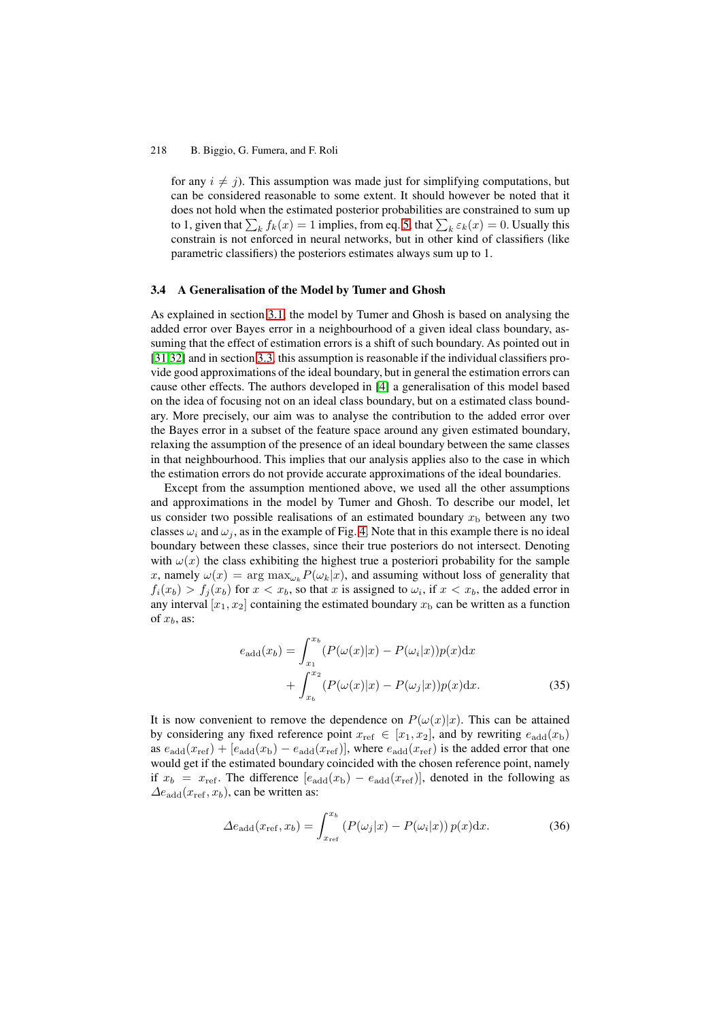for any  $i \neq j$ ). This assumption was made just for simplifying computations, but can be considered reasonable to some extent. It should however be noted that it does not hold when the estimated posterior probabilities are constrained to sum up to 1, given that  $\sum_{k} f_k(x) = 1$  implies, from eq. 5, that  $\sum_{k} \varepsilon_k(x) = 0$ . Usually this constrain is not enforced in neural networks, but in other kind of classifiers (like parametric classifiers) the posteriors estimates always sum up to 1.

#### **3.4 A Generalisation of the Model by Tumer a[nd](#page-7-0) Ghosh**

<span id="page-17-0"></span>As explained in section 3.1, the model by Tumer and Ghosh is based on analysing the added error over Bayes error in a neighbourhood of a given ideal class boundary, assuming that the effect of estimation errors is a shift of such boundary. As pointed out in [31,32] and in section 3.3, this assumption is reasonable if the individual classifiers provide good approximatio[ns of](#page-6-0) the ideal boundary, but in general the estimation errors can cause other effects. The authors developed in [4] a generalisation of this model based on the idea of focusing not on an ideal class boundary, but on a estimated class bound[ary.](#page-29-5) [M](#page-29-6)ore precisely, [our a](#page-15-0)im was to analyse the contribution to the added error over the Bayes error in a subset of the feature space around any given estimated boundary, relaxing the assumption of the presence of an i[de](#page-28-5)al boundary between the same classes in that neighbourhood. This implies that our analysis applies also to the case in which the estimation errors do not provide accurate approximations of the ideal boundaries.

Except from the assumption mentioned above, we used all the other assumptions and approximations in the model by Tumer and Ghosh. To describe our model, let us consider two possible realisations of an estimated boundary  $x<sub>b</sub>$  between any two classes  $\omega_i$  and  $\omega_j$ , as in the example of Fig. 4. Note that in this example there is no ideal boundary between these classes, since their true posteriors do not intersect. Denoting with  $\omega(x)$  the class exhibiting the highest true a posteriori probability for the sample x, namely  $\omega(x) = \arg \max_{\omega_k} P(\omega_k|x)$ , and assuming without loss of generality that  $f_i(x_b) > f_i(x_b)$  for  $x < x_b$ , so that x is a[ss](#page-18-0)igned to  $\omega_i$ , if  $x < x_b$ , the added error in any interval  $[x_1, x_2]$  containing the estimated boundary  $x_b$  can be written as a function of  $x_b$ , as:

$$
e_{\text{add}}(x_b) = \int_{x_1}^{x_b} (P(\omega(x)|x) - P(\omega_i|x))p(x)dx
$$

$$
+ \int_{x_b}^{x_2} (P(\omega(x)|x) - P(\omega_j|x))p(x)dx.
$$
(35)

It is now convenient to remove the dependence on  $P(\omega(x)|x)$ . This can be attained by considering any fixed reference point  $x_{ref} \in [x_1, x_2]$ , and by rewriting  $e_{add}(x_b)$ as  $e_{\text{add}}(x_{\text{ref}}) + [e_{\text{add}}(x_b) - e_{\text{add}}(x_{\text{ref}})]$ , where  $e_{\text{add}}(x_{\text{ref}})$  is the added error that one would get if the estimated boundary coincided with the chosen reference point, namely if  $x_b = x_{\text{ref}}$ . The difference  $[e_{\text{add}}(x_b) - e_{\text{add}}(x_{\text{ref}})]$ , denoted in the following as  $\Delta e_{\text{add}}(x_{\text{ref}}, x_b)$ , can be written as:

$$
\Delta e_{\text{add}}(x_{\text{ref}}, x_b) = \int_{x_{\text{ref}}}^{x_b} \left( P(\omega_j | x) - P(\omega_i | x) \right) p(x) \, \mathrm{d}x. \tag{36}
$$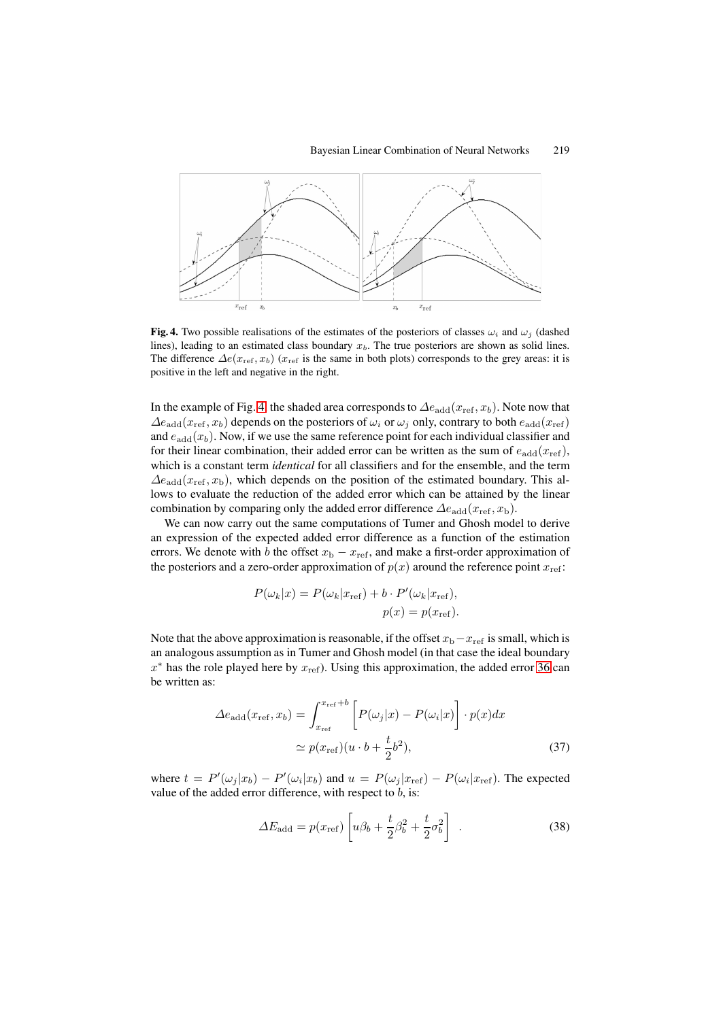

**Fig. 4.** Two possible realisations of the estimates of the posteriors of classes  $\omega_i$  and  $\omega_j$  (dashed lines), leading to an estimated class boundary  $x<sub>b</sub>$ . The true posteriors are shown as solid lines. The difference  $\Delta e(x_{\text{ref}}, x_b)$  ( $x_{\text{ref}}$  is the same in both plots) corresponds to the grey areas: it is positive in the left and negative in the right.

<span id="page-18-0"></span>In the example of Fig. 4, the shaded area corresponds to  $\Delta e_{\text{add}}(x_{\text{ref}}, x_b)$ . Note now that  $\Delta e_{\rm add}(x_{\rm ref}, x_b)$  depends on the posteriors of  $\omega_i$  or  $\omega_j$  only, contrary to both  $e_{\rm add}(x_{\rm ref})$ and  $e_{\text{add}}(x_b)$ . Now, if we use the same reference point for each individual classifier and for their linear combination, their added error can be written as the sum of  $e_{\rm add}(x_{\rm ref})$ , which is a constant te[rm](#page-18-0) *identical* for all classifiers and for the ensemble, and the term  $\Delta e_{\rm add}(x_{\rm ref}, x_{\rm b})$ , which depends on the position of the estimated boundary. This allows to evaluate the reduction of the added error which can be attained by the linear combination by comparing only the added error difference  $\Delta e_{\text{add}}(x_{\text{ref}}, x_{\text{b}})$ .

We can now carry out the same computations of Tumer and Ghosh model to derive an expression of the expected added error difference as a function of the estimation errors. We denote with b the offset  $x<sub>b</sub> - x<sub>ref</sub>$ , and make a first-order approximation of the posteriors and a zero-order approximation of  $p(x)$  around the reference point  $x_{ref}$ :

$$
P(\omega_k|x) = P(\omega_k|x_{\text{ref}}) + b \cdot P'(\omega_k|x_{\text{ref}}),
$$
  

$$
p(x) = p(x_{\text{ref}}).
$$

Note that the above approximation is reasonable, if the offset  $x_b - x_{ref}$  is small, which is an analogous assumption as in Tumer and Ghosh model (in that case the ideal boundary  $x^*$  has the role played here by  $x_{ref}$ ). Using this approximation, the added error 36 can be written as:

$$
\Delta e_{\text{add}}(x_{\text{ref}}, x_b) = \int_{x_{\text{ref}}}^{x_{\text{ref}} + b} \left[ P(\omega_j | x) - P(\omega_i | x) \right] \cdot p(x) dx
$$

$$
\simeq p(x_{\text{ref}})(u \cdot b + \frac{t}{2}b^2), \tag{37}
$$

where  $t = P'(\omega_j|x_b) - P'(\omega_i|x_b)$  and  $u = P(\omega_j|x_{\text{ref}}) - P(\omega_i|x_{\text{ref}})$ . The expected value of the added error difference, with respect to  $b$ , is:

<span id="page-18-1"></span>
$$
\Delta E_{\text{add}} = p(x_{\text{ref}}) \left[ u\beta_b + \frac{t}{2} \beta_b^2 + \frac{t}{2} \sigma_b^2 \right] \quad . \tag{38}
$$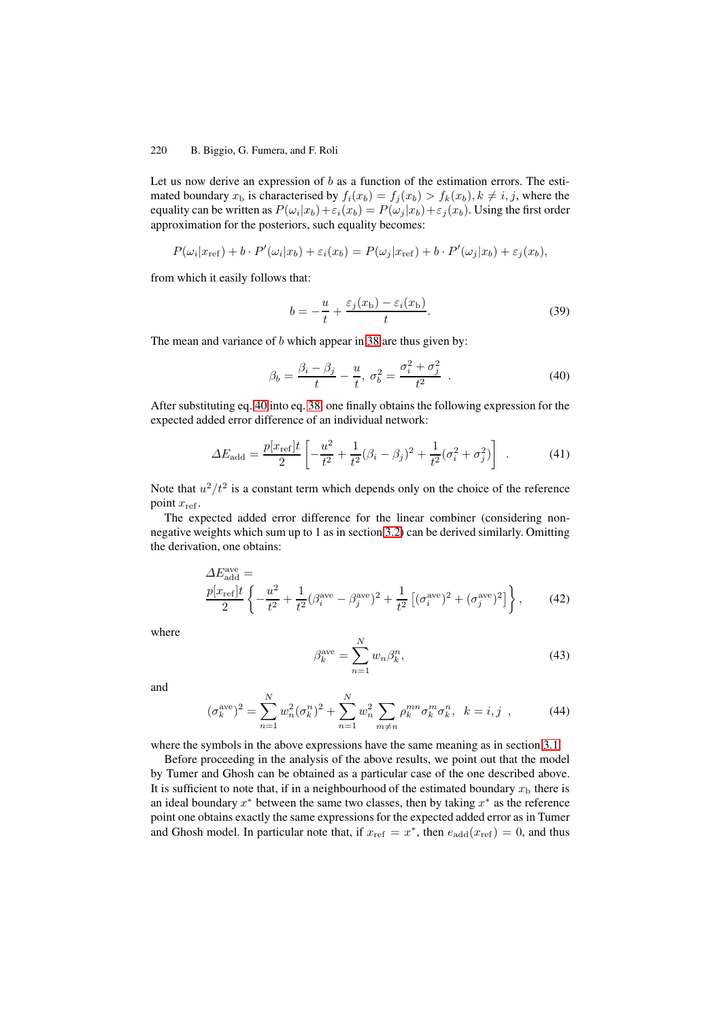Let us now derive an expression of  $b$  as a function of the estimation errors. The estimated boundary  $x_b$  is characterised by  $f_i(x_b) = f_j(x_b) > f_k(x_b)$ ,  $k \neq i, j$ , where the equality can be written as  $P(\omega_i|x_b)+\varepsilon_i(x_b) = P(\omega_i|x_b)+\varepsilon_i(x_b)$ . Using the first order approximation for the posteriors, such equality becomes:

$$
P(\omega_i|x_{\text{ref}}) + b \cdot P'(\omega_i|x_b) + \varepsilon_i(x_b) = P(\omega_j|x_{\text{ref}}) + b \cdot P'(\omega_j|x_b) + \varepsilon_j(x_b),
$$

from which it easily follows that:

$$
b = -\frac{u}{t} + \frac{\varepsilon_j(x_{\rm b}) - \varepsilon_i(x_{\rm b})}{t}.
$$
\n(39)

The mean and variance of  $b$  which appear in 38 are thus given by:

$$
\beta_b = \frac{\beta_i - \beta_j}{t} - \frac{u}{t}, \ \sigma_b^2 = \frac{\sigma_i^2 + \sigma_j^2}{t^2} \ . \tag{40}
$$

After substituting eq. 40 into eq. 38, one fina[lly](#page-18-1) [o](#page-18-1)btains the following expression for the expected added error difference of an individual network:

<span id="page-19-0"></span>
$$
\Delta E_{\text{add}} = \frac{p[x_{\text{ref}}]t}{2} \left[ -\frac{u^2}{t^2} + \frac{1}{t^2} (\beta_i - \beta_j)^2 + \frac{1}{t^2} (\sigma_i^2 + \sigma_j^2) \right] \tag{41}
$$

Note that  $u^2/t^2$  is a constant term which depends only on the choice of the reference point  $x_{ref}$ .

The expected added error difference for the linear combiner (considering nonnegative weights which sum up to 1 as in section 3.2) can be derived similarly. Omitting the derivation, one obtains:

$$
\Delta E_{\text{add}}^{\text{ave}} =
$$
\n
$$
\frac{p[x_{\text{ref}}]t}{2} \left\{ -\frac{u^2}{t^2} + \frac{1}{t^2} (\beta_i^{\text{ave}} - \beta_j^{\text{ave}})^2 + \frac{1}{t^2} \left[ (\sigma_i^{\text{ave}})^2 + (\sigma_j^{\text{ave}})^2 \right] \right\},
$$
\n(42)

where

<span id="page-19-1"></span>
$$
\beta_k^{\text{ave}} = \sum_{n=1}^N w_n \beta_k^n,\tag{43}
$$

and

$$
(\sigma_k^{\text{ave}})^2 = \sum_{n=1}^N w_n^2 (\sigma_k^n)^2 + \sum_{n=1}^N w_n^2 \sum_{m \neq n} \rho_k^{mn} \sigma_k^m \sigma_k^n, \ k = i, j \tag{44}
$$

where the symbols in the above expressions have the same meaning as in section 3.1.

<span id="page-19-2"></span>Before proceeding in the analysis of the above results, we point out that the model by Tumer and Ghosh can be obtained as a particular case of the one described above. It is sufficient to note that, if in a neighbourhood of the estimated boundary  $x<sub>b</sub>$  there is an ideal boundary  $x^*$  between the same two classes, then by taking  $x^*$  as the ref[erenc](#page-6-0)e point one obtains exactly the same expressions for the expected added error as in Tumer and Ghosh model. In particular note that, if  $x_{ref} = x^*$ , then  $e_{add}(x_{ref}) = 0$ , and thus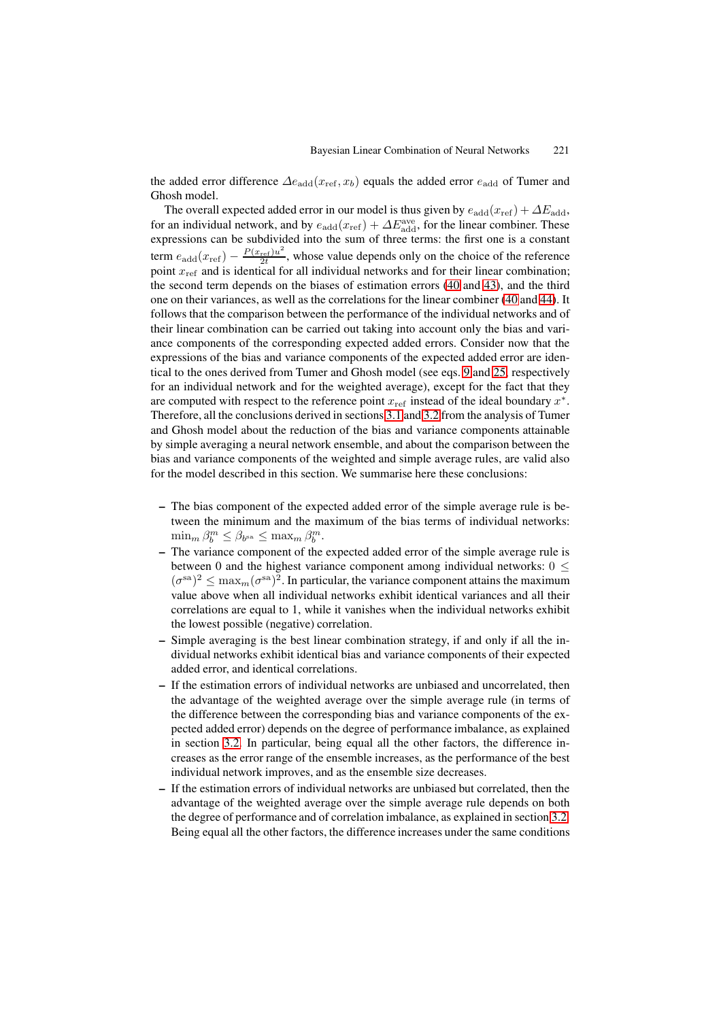the added error difference  $\Delta e_{\text{add}}(x_{\text{ref}}, x_b)$  equals the added error  $e_{\text{add}}$  of Tumer and Ghosh model.

The overall expected added error in our model is thus given by  $e_{\rm add}(x_{\rm ref}) + \Delta E_{\rm add}$ , for an individual network, and by  $e_{\text{add}}(x_{\text{ref}}) + \Delta E_{\text{add}}^{\text{ave}}$ , for the linear combiner. These expressions can be subdivided into the sum of three terms: the first one is a constant term  $e_{\text{add}}(x_{\text{ref}}) - \frac{P(x_{\text{ref}})u^2}{2t}$ , whose value depends only on the choice of the reference point  $x_{\text{ref}}$  and is identical for all individual networks and for their linear combination; the second term depends on the biases of estimation errors (40 and 43), and the third one on their variances, as well as the correlations for the linear combiner (40 and 44). It follows that the comparison between the performance of the individual networks and of their linear combination can be carried out taking into account only the bias and variance components of the corresponding expected added erro[rs.](#page-19-0) Con[side](#page-19-1)r now that the expressions of the bias and variance components of the expected added [erro](#page-19-0)r ar[e id](#page-19-2)entical to the ones derived from Tumer and Ghosh model (see eqs. 9 and 25, respectively for an individual network and for the weighted average), except for the fact that they are computed with respect to the reference point  $x_{ref}$  instead of the ideal boundary  $x^*$ . Therefore, all the conclusions derived in sections 3.1 and 3.2 from the analysis of Tumer and Ghosh model about the reduction of the bias and variance [co](#page-8-4)mp[onen](#page-11-0)ts attainable by simple averaging a neural network ensemble, and about the comparison between the bias and variance components of the weighted and simple average rules, are valid also for the model described in this section. We sum[mari](#page-6-0)se h[ere t](#page-10-0)hese conclusions:

- **–** The bias component of the expected added error of the simple average rule is between the minimum and the maximum of the bias terms of individual networks:  $\min_m \beta_b^m \leq \beta_{b^{sa}} \leq \max_m \beta_b^m.$
- **–** The variance component of the expected added error of the simple average rule is between 0 and the highest variance component among individual networks:  $0 \leq$  $({\sigma}^{sa})^2 \leq \max_m ({\sigma}^{sa})^2$ . In particular, the variance component attains the maximum value above when all individual networks exhibit identical variances and all their correlations are equal to 1, while it vanishes when the individual networks exhibit the lowest possible (negative) correlation.
- **–** Simple averaging is the best linear combination strategy, if and only if all the individual networks exhibit identical bias and variance components of their expected added error, and identical correlations.
- **–** If the estimation errors of individual networks are unbiased and uncorrelated, then the advantage of the weighted average over the simple average rule (in terms of the difference between the corresponding bias and variance components of the expected added error) depends on the degree of performance imbalance, as explained in section 3.2. In particular, being equal all the other factors, the difference increases as the error range of the ensemble increases, as the performance of the best individual network improves, and as the ensemble size decreases.
- **–** If the estimation errors of individual networks are unbiased but correlated, then the advantage [of t](#page-10-0)he weighted average over the simple average rule depends on both the degree of performance and of correlation imbalance, as explained in section 3.2. Being equal all the other factors, the difference increases under the same conditions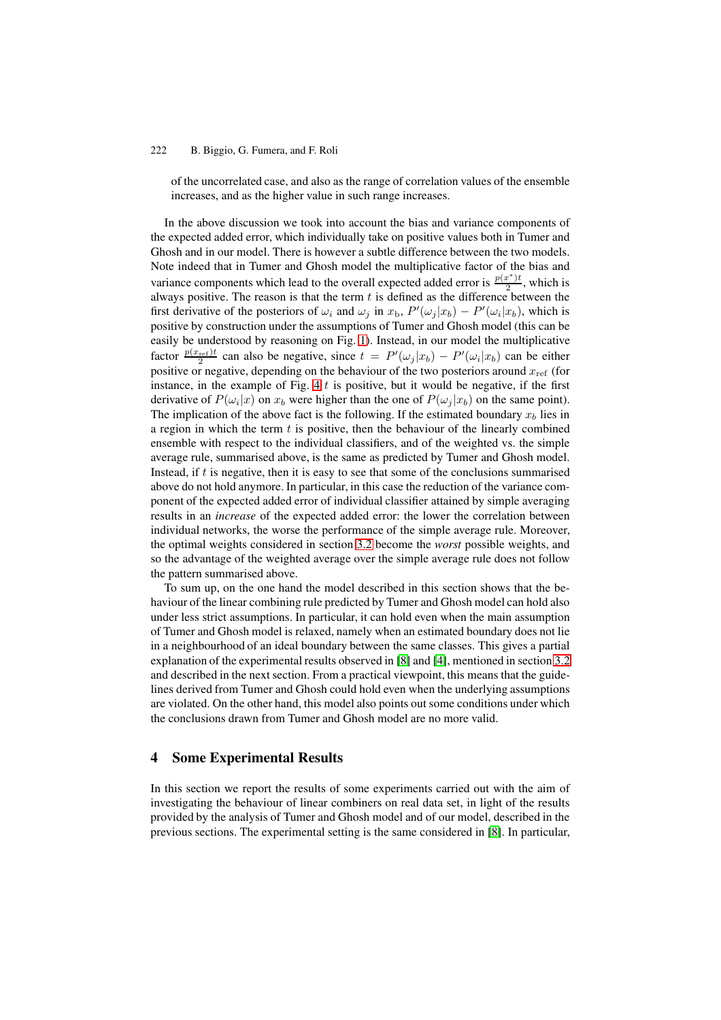of the uncorrelated case, and also as the range of correlation values of the ensemble increases, and as the higher value in such range increases.

In the above discussion we took into account the bias and variance components of the expected added error, which individually take on positive values both in Tumer and Ghosh and in our model. There is however a subtle difference between the two models. Note indeed that in Tumer and Ghosh model the multiplicative factor of the bias and variance components which lead to the overall expected added error is  $\frac{p(x^*)t}{2}$ , which is always positive. The reason is that the term  $t$  is defined as the difference between the first derivative of the posteriors of  $\omega_i$  and  $\omega_j$  in  $x_b$ ,  $P'(\omega_j|x_b) - P'(\omega_i|x_b)$ , which is positive by construction under the assumptions of Tumer and Ghosh model (this can be easily be understood by reasoning on Fig. 1). Instead, in our model the multiplicative factor  $\frac{p(x_{\text{ref}})t}{2}$  can also be negative, since  $t = P'(\omega_j|x_b) - P'(\omega_i|x_b)$  can be either positive or negative, depending on the behaviour of the two posteriors around  $x_{ref}$  (for instance, in the example of Fig. 4  $t$  is positive, but it would be negative, if the first derivative of  $P(\omega_i|x)$  on  $x_b$  were higher t[han](#page-6-1) the one of  $P(\omega_i|x_b)$  on the same point). The implication of the above fact is the following. If the estimated boundary  $x_b$  lies in a region in which the term  $t$  is positive, then the behaviour of the linearly combined ensemble with respect to the ind[ivi](#page-18-0)dual classifiers, and of the weighted vs. the simple average rule, summarised above, is the same as predicted by Tumer and Ghosh model. Instead, if t is negative, then it is easy to see that some of the conclusions summarised above do not hold anymore. In particular, in this case the reduction of the variance component of the expected added error of individual classifier attained by simple averaging results in an *increase* of the expected added error: the lower the correlation between individual networks, the worse the performance of the simple average rule. Moreover, the optimal weights considered in section 3.2 become the *worst* possible weights, and so the advantage of the weighted average over the simple average rule does not follow the pattern summarised above.

To sum up, on the one hand the model described in this section shows that the behaviour of the linear combining rule predi[cted b](#page-10-0)y Tumer and Ghosh model can hold also under less strict assumptions. In particular, it can hold even when the main assumption of Tumer and Ghosh model is relaxed, namely when an estimated boundary does not lie in a neighbourhood of an ideal boundary between the same classes. This gives a partial explanation of the experimental results observed in [8] and [4], mentioned in section 3.2 and described in the next section. From a practical viewpoint, this means that the guidelines derived from Tumer and Ghosh could hold even when the underlying assumptions are violated. On the other hand, this model also points out some conditions under which the conclusions drawn from Tumer and Ghosh mo[del](#page-28-4) are n[o m](#page-28-5)ore valid.

## **4 Some Experimental Results**

<span id="page-21-0"></span>In this section we report the results of some experiments carried out with the aim of investigating the behaviour of linear combiners on real data set, in light of the results provided by the analysis of Tumer and Ghosh model and of our model, described in the previous sections. The experimental setting is the same considered in [8]. In particular,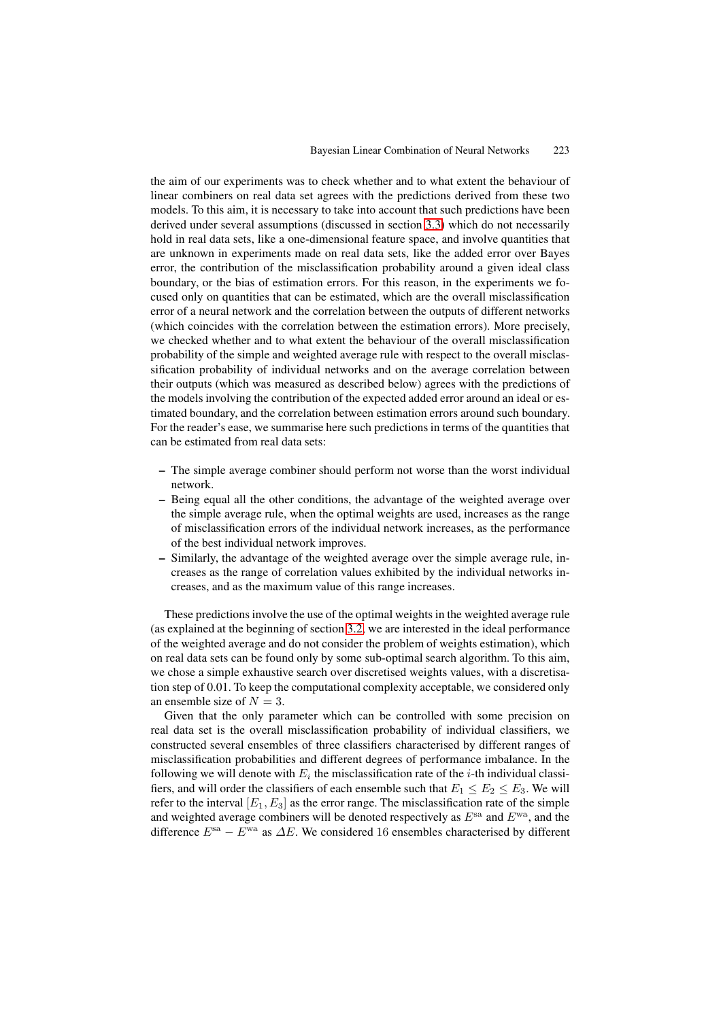the aim of our experiments was to check whether and to what extent the behaviour of linear combiners on real data set agrees with the predictions derived from these two models. To this aim, it is necessary to take into account that such predictions have been derived under several assumptions (discussed in section 3.3) which do not necessarily hold in real data sets, like a one-dimensional feature space, and involve quantities that are unknown in experiments made on real data sets, like the added error over Bayes error, the contribution of the misclassification probability around a given ideal class boundary, or the bias of estimation errors. For this reas[on,](#page-15-0) in the experiments we focused only on quantities that can be estimated, which are the overall misclassification error of a neural network and the correlation between the outputs of different networks (which coincides with the correlation between the estimation errors). More precisely, we checked whether and to what extent the behaviour of the overall misclassification probability of the simple and weighted average rule with respect to the overall misclassification probability of individual networks and on the average correlation between their outputs (which was measured as described below) agrees with the predictions of the models involving the contribution of the expected added error around an ideal or estimated boundary, and the correlation between estimation errors around such boundary. For the reader's ease, we summarise here such predictions in terms of the quantities that can be estimated from real data sets:

- **–** The simple average combiner should perform not worse than the worst individual network.
- **–** Being equal all the other conditions, the advantage of the weighted average over the simple average rule, when the optimal weights are used, increases as the range of misclassification errors of the individual network increases, as the performance of the best individual network improves.
- **–** Similarly, the advantage of the weighted average over the simple average rule, increases as the range of correlation values exhibited by the individual networks increases, and as the maximum value of this range increases.

These predictions involve the use of the optimal weights in the weighted average rule (as explained at the beginning of section 3.2, we are interested in the ideal performance of the weighted average and do not consider the problem of weights estimation), which on real data sets can be found only by some sub-optimal search algorithm. To this aim, we chose a simple exhaustive search over discretised weights values, with a discretisation step of 0.01. To keep the computatio[nal c](#page-10-0)omplexity acceptable, we considered only an ensemble size of  $N = 3$ .

Given that the only parameter which can be controlled with some precision on real data set is the overall misclassification probability of individual classifiers, we constructed several ensembles of three classifiers characterised by different ranges of misclassification probabilities and different degrees of performance imbalance. In the following we will denote with  $E_i$  the misclassification rate of the *i*-th individual classifiers, and will order the classifiers of each ensemble such that  $E_1 \le E_2 \le E_3$ . We will refer to the interval  $[E_1, E_3]$  as the error range. The misclassification rate of the simple and weighted average combiners will be denoted respectively as  $E^{sa}$  and  $E^{wa}$ , and the difference  $E^{sa} - E^{wa}$  as  $\Delta E$ . We considered 16 ensembles characterised by different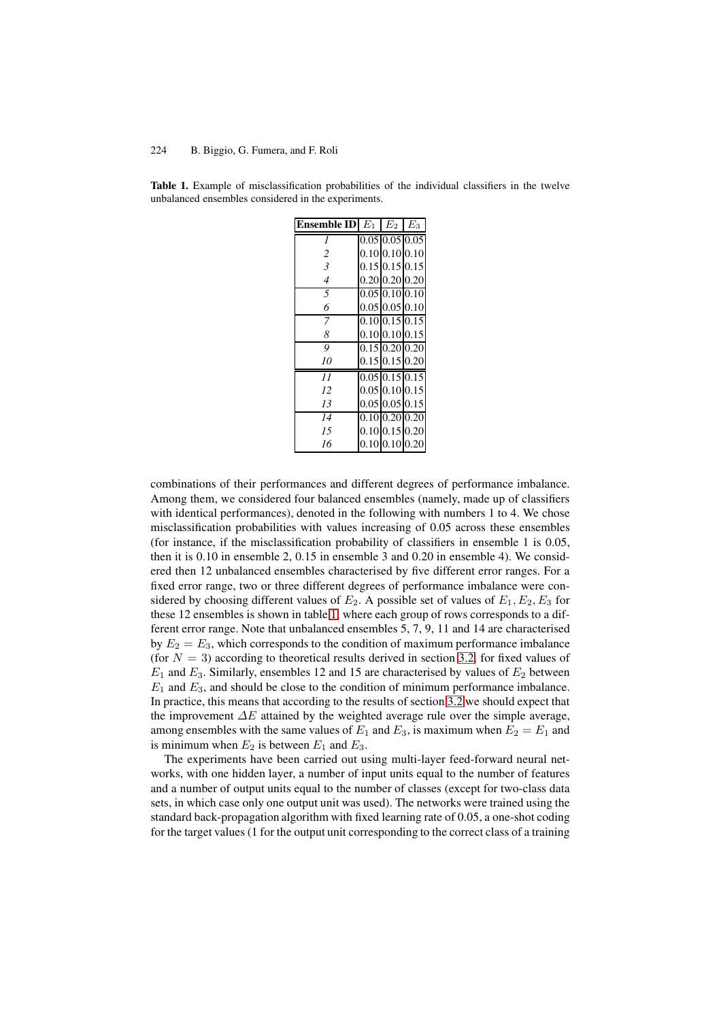| <b>Ensemble ID</b> $E_1$ | $E_2$                                                 | $E_{3}$ |
|--------------------------|-------------------------------------------------------|---------|
| 1                        | 0.05 0.05 0.05                                        |         |
| 2                        | 0.10 0.10 0.10                                        |         |
| $\overline{3}$           | 0.15 0.15 0.15                                        |         |
| $\overline{4}$           | $0.20 \, 0.20 \, 0.20$                                |         |
| 5                        | $0.05 \, 0.10 \, 0.10$                                |         |
| 6                        | 0.05 0.05 0.10                                        |         |
| 7                        | $0.10 \, 0.15 \, 0.15$                                |         |
| 8                        | 0.10 0.10 0.15                                        |         |
| 9                        | $\overline{0.15}$ $\overline{0.20}$ $\overline{0.20}$ |         |
| 10                       | 0.15 0.15 0.20                                        |         |
| $_{11}$                  | 0.05 0.15 0.15                                        |         |
| 12                       | 0.05 0.10 0.15                                        |         |
| 13                       | 0.05 0.05 0.15                                        |         |
| 14                       | 0.1010.2010.20                                        |         |
| 15                       | 0.10 0.15 0.20                                        |         |
| 16                       | 0.10 0.10 0.20                                        |         |

<span id="page-23-0"></span>**Table 1.** Example of misclassification probabilities of the individual classifiers in the twelve unbalanced ensembles considered in the experiments.

combinations of their performances and different degrees of performance imbalance. Among them, we considered four balanced ensembles (namely, made up of classifiers with identical performances), denoted in the following with numbers 1 to 4. We chose misclassification probabilities with values increasing of 0.05 across these ensembles (for instance, if the misclassification probability of classifiers in ensemble 1 is 0.05, then it is 0.10 in ensemble 2, 0.15 in ensemble 3 and 0.20 in ensemble 4). We considered then 12 unbalanced ensembles characterised by five different error ranges. For a fixed error range, two or three different degrees of performance imbalance were considered by choosing different values of  $E_2$ . A possible set of values of  $E_1, E_2, E_3$  for these 12 ensembles is shown in table 1, where each group of rows corresponds to a different error range. Note that unbalanced ensembles 5, 7, 9, 11 and 14 are characterised by  $E_2 = E_3$ , which corresponds to the condition of maximum performance imbalance (for  $N = 3$ ) according to theoretical results derived in section 3.2, for fixed values of  $E_1$  [an](#page-23-0)d  $E_3$ . Similarly, ensembles 12 and 15 are characterised by values of  $E_2$  between  $E_1$  and  $E_3$ , and should be close to the condition of minimum performance imbalance. In practice, this means that according to the results of section 3.2 we should expect that the improvement  $\Delta E$  attained by the weighted average rule o[ver t](#page-10-0)he simple average, among ensembles with the same values of  $E_1$  and  $E_3$ , is maximum when  $E_2 = E_1$  and is minimum when  $E_2$  is between  $E_1$  and  $E_3$ .

The experiments have been carried out using multi-layer [fee](#page-10-0)d-forward neural networks, with one hidden layer, a number of input units equal to the number of features and a number of output units equal to the number of classes (except for two-class data sets, in which case only one output unit was used). The networks were trained using the standard back-propagation algorithm with fixed learning rate of 0.05, a one-shot coding for the target values (1 for the output unit corresponding to the correct class of a training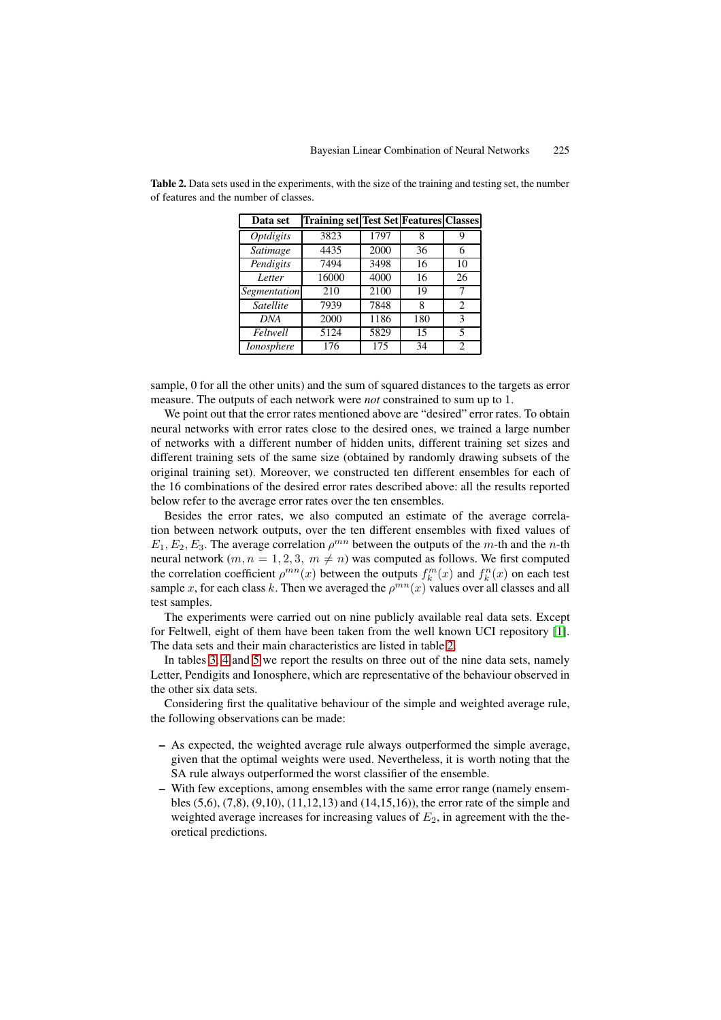<span id="page-24-0"></span>

| Data set                | <b>Training set Test Set Features Classes</b> |      |     |                             |
|-------------------------|-----------------------------------------------|------|-----|-----------------------------|
| <i><b>Optdigits</b></i> | 3823                                          | 1797 | 8   | 9                           |
| Satimage                | 4435                                          | 2000 | 36  | 6                           |
| Pendigits               | 7494                                          | 3498 | 16  | 10                          |
| Letter                  | 16000                                         | 4000 | 16  | 26                          |
| Segmentation            | 210                                           | 2100 | 19  | 7                           |
| Satellite               | 7939                                          | 7848 | 8   | 2                           |
| <b>DNA</b>              | 2000                                          | 1186 | 180 | 3                           |
| Feltwell                | 5124                                          | 5829 | 15  | 5                           |
| Ionosphere              | 176                                           | 175  | 34  | $\mathcal{D}_{\mathcal{L}}$ |

**Table 2.** Data sets used in the experiments, with the size of the training and testing set, the number of features and the number of classes.

sample, 0 for all the other units) and the sum of squared distances to the targets as error measure. The outputs of each network were *not* constrained to sum up to 1.

We point out that the error rates mentioned above are "desired" error rates. To obtain neural networks with error rates close to the desired ones, we trained a large number of networks with a different number of hidden units, different training set sizes and different training sets of the same size (obtained by randomly drawing subsets of the original training set). Moreover, we constructed ten different ensembles for each of the 16 combinations of the desired error rates described above: all the results reported below refer to the average error rates over the ten ensembles.

Besides the error rates, we also computed an estimate of the average correlation between network outputs, over the ten different ensembles with fixed values of  $E_1, E_2, E_3$ . The average correlation  $\rho^{mn}$  between the outputs of the m-th and the n-th neural network ( $m, n = 1, 2, 3, m \neq n$ ) was computed as follows. We first computed the correlation coefficient  $\rho^{mn}(x)$  between the outputs  $f_k^m(x)$  and  $f_k^n(x)$  on each test sample x, for each class k. Then we averaged the  $\rho^{mn}(x)$  values over all classes and all test samples.

The experiments were carried out on nine publicly available real data sets. Except for Feltwell, eight of them have been taken from the well known UCI repository [1]. The data sets and their main characteristics are listed in table 2.

In tables 3, 4 and 5 we report the results on three out of the nine data sets, namely Letter, Pendigits and Ionosphere, which are representative of the behaviour observed in the other six data sets.

Considering first the qualitative behaviour of the simple a[nd](#page-24-0) weighted average rule, the followi[ng](#page-25-0) [ob](#page-25-1)serv[ati](#page-26-0)ons can be made:

- **–** As expected, the weighted average rule always outperformed the simple average, given that the optimal weights were used. Nevertheless, it is worth noting that the SA rule always outperformed the worst classifier of the ensemble.
- **–** With few exceptions, among ensembles with the same error range (namely ensembles (5,6), (7,8), (9,10), (11,12,13) and (14,15,16)), the error rate of the simple and weighted average increases for increasing values of  $E_2$ , in agreement with the theoretical predictions.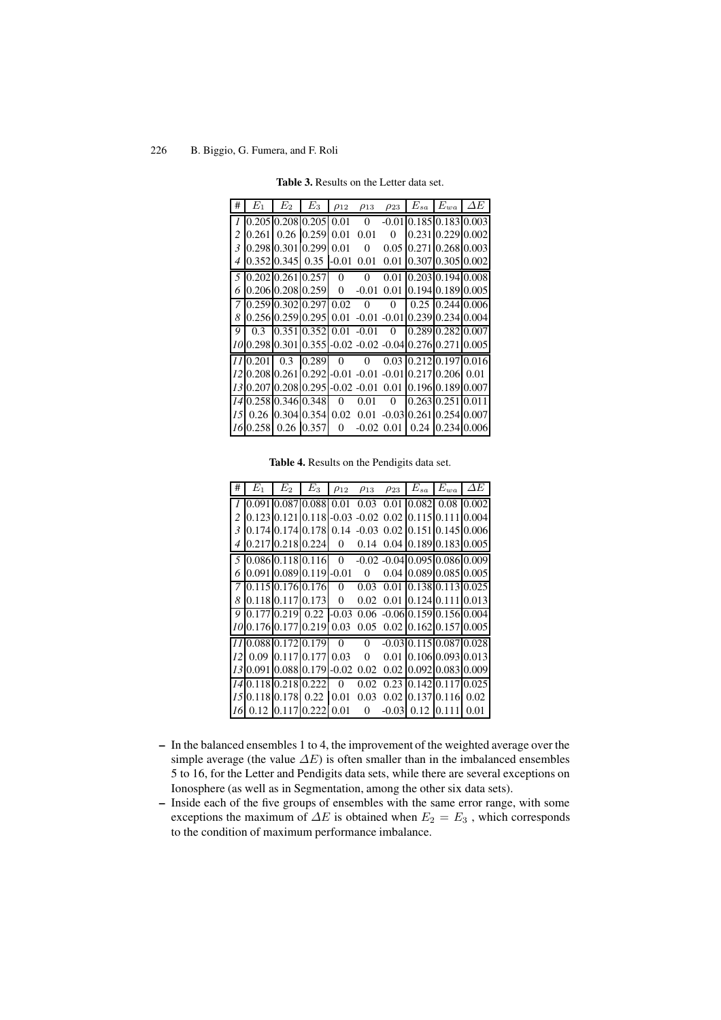| #               | $E_1$       | $\scriptstyle E_2$ | $E_3$                               | $\rho_{12}$ | $\rho_{13}$ | $\rho_{23}$ | $\mathcal{E}_{sa}$            | $\mathcal{E}_{wa}$ | ΔE    |
|-----------------|-------------|--------------------|-------------------------------------|-------------|-------------|-------------|-------------------------------|--------------------|-------|
| $\mathcal{I}$   | 0.205       | 0.208              | 0.205                               | 0.01        | $\Omega$    | $-0.01$     |                               | 0.185 0.183 0.003  |       |
| $\mathcal{L}$   | 0.261       | 0.26               | 0.259                               | 0.01        | 0.01        | $\Omega$    |                               | 0.231 0.229 0.002  |       |
| 3               | 0.298       | 0.301              | 0.299                               | 0.01        | 0           | 0.05        |                               | 0.27110.26810.003  |       |
| 4               | 0.352       | 0.345              | 0.35                                | -0.01       | 0.01        | 0.01        |                               | 0.307 0.305 0.002  |       |
| 5               |             | 0.20210.26110.257  |                                     | $\Omega$    | $\Omega$    | 0.01        |                               | 0.20310.19410.008  |       |
| 6               |             |                    | 0.20610.20810.2591                  | $\Omega$    | $-0.01$     | 0.01        |                               | 0.19410.18910.005  |       |
| 7               |             |                    | 0.259 0.302 0.297                   | 0.02        | $\Omega$    | $\Omega$    | 0.25                          | 0.24410.006        |       |
| 8               |             |                    | 0.25610.25910.2951                  | 0.01        | $-0.01$     | $-0.01$     |                               | 0.23910.23410.004  |       |
| 9               | 0.3         | 0.351              | 0.352                               | 0.01        | $-0.01$     | $\Omega$    | 0.289 0.282 0.007             |                    |       |
| 10I             | 0.298       | 0.301              | 0.355 -0.02 -0.02 -0.04 0.276 0.271 |             |             |             |                               |                    | 0.005 |
| $_{II}$         | 0.201       | 0.3                | 0.289                               | $\Omega$    | $\Omega$    | 0.03        |                               | 0.212 0.197 0.016  |       |
| 12 <sup>1</sup> | 0.208 0.261 |                    | 0.292                               |             |             |             | -0.01 -0.01 -0.01 0.217 0.206 |                    | 0.01  |
| 13              | 0.207       |                    | $0.20810.2951 - 0.02 - 0.01$        |             |             | 0.01        | 0.196 0.189 0.007             |                    |       |
| 14              | 0.258       |                    | 0.346 0.348                         | 0           | 0.01        | $\Omega$    | 0.26310.251                   |                    | 0.011 |
| 15              | 0.26        | 0.304              | 0.354                               | 0.02        | 0.01        |             | $-0.0310.26110.25410.007$     |                    |       |
| 16              | 0.258       | 0.26               | 0.357                               | 0           | $-0.02$     | 0.01        | 0.24                          | 0.234              | 0.006 |

<span id="page-25-0"></span>**Table 3.** Results on the Letter data set.

<span id="page-25-1"></span>**Table 4.** Results on the Pendigits data set.

| #             | $E_1$                | $E_2$             | $E_3$                     | $\rho_{12}$ | $\rho_{13}$         | $\rho_{23}$ | $E_{sa}$                                  | $E_{wa}$    | ΔE                |
|---------------|----------------------|-------------------|---------------------------|-------------|---------------------|-------------|-------------------------------------------|-------------|-------------------|
| $\mathcal{I}$ |                      |                   | 0.09110.08710.0881        | 0.01        | 0.03                | 0.01        | $0.082 \, 0.08$                           |             | 0.002             |
| 2             |                      |                   | 0.12310.12110.1181        |             | $-0.03 - 0.02$ 0.02 |             | 0.115 0.111 0.004                         |             |                   |
| 3             | [0.174] 0.174] 0.178 |                   |                           | 0.14        | $-0.03$             |             | $0.02$   0.151   0.145   0.006            |             |                   |
| 4             |                      | 0.21710.21810.224 |                           | 0           | 0.14                | 0.04        | [0.189] 0.183] 0.005                      |             |                   |
| 5             | [0.086] 0.118] 0.116 |                   |                           | $\Omega$    |                     |             | $-0.02 - 0.04 \, 0.095 \, 0.086 \, 0.009$ |             |                   |
| 6             |                      |                   | $0.09110.08910.1191-0.01$ |             | 0                   |             | 0.04 0.089 0.085 0.005                    |             |                   |
| 7             | 0.115 0.176 0.176    |                   |                           | $\Omega$    | 0.03                | 0.01        | [0.138]0.113]0.025                        |             |                   |
| 8             |                      | 0.118 0.117 0.173 |                           | 0           | 0.02                | 0.01        | 0.12410.11110.013                         |             |                   |
| 9             | 0.177 0.219 0.22     |                   |                           | -0.03       | 0.06                |             | -0.0610.15910.15610.004                   |             |                   |
|               | 100.1760.1770.219    |                   |                           | 0.03        | 0.05                | 0.02        | 0.162 0.157 0.005                         |             |                   |
| $_{II}$       |                      | 0.08810.17210.179 |                           | $\Omega$    | $\Omega$            |             | $-0.03$ 0.115 0.087 0.028                 |             |                   |
| 12            | 0.09                 |                   | 0.11710.177               | 0.03        | 0                   | 0.01        |                                           |             | 0.106 0.093 0.013 |
|               | 13 0.091             |                   | $[0.08810.179]$ -0.02     |             | 0.02                | 0.02        | 0.092 0.083 0.009                         |             |                   |
|               | 14 0.118 0.218 0.222 |                   |                           | $\Omega$    | 0.02                | 0.23        | 0.14210.11710.025                         |             |                   |
|               | 75 0.118 0.178       |                   | 0.22                      | 0.01        | 0.03                | 0.02        |                                           | 0.13710.116 | 0.02              |
| 16            | 0.12                 |                   | 0.117 0.222               | 0.01        | 0                   | -0.03       | 0.12                                      | 0.111       | 0.01              |

- **–** In the balanced ensembles 1 to 4, the improvement of the weighted average over the simple average (the value  $\Delta E$ ) is often smaller than in the imbalanced ensembles 5 to 16, for the Letter and Pendigits data sets, while there are several exceptions on Ionosphere (as well as in Segmentation, among the other six data sets).
- **–** Inside each of the five groups of ensembles with the same error range, with some exceptions the maximum of  $\Delta E$  is obtained when  $E_2 = E_3$ , which corresponds to the condition of maximum performance imbalance.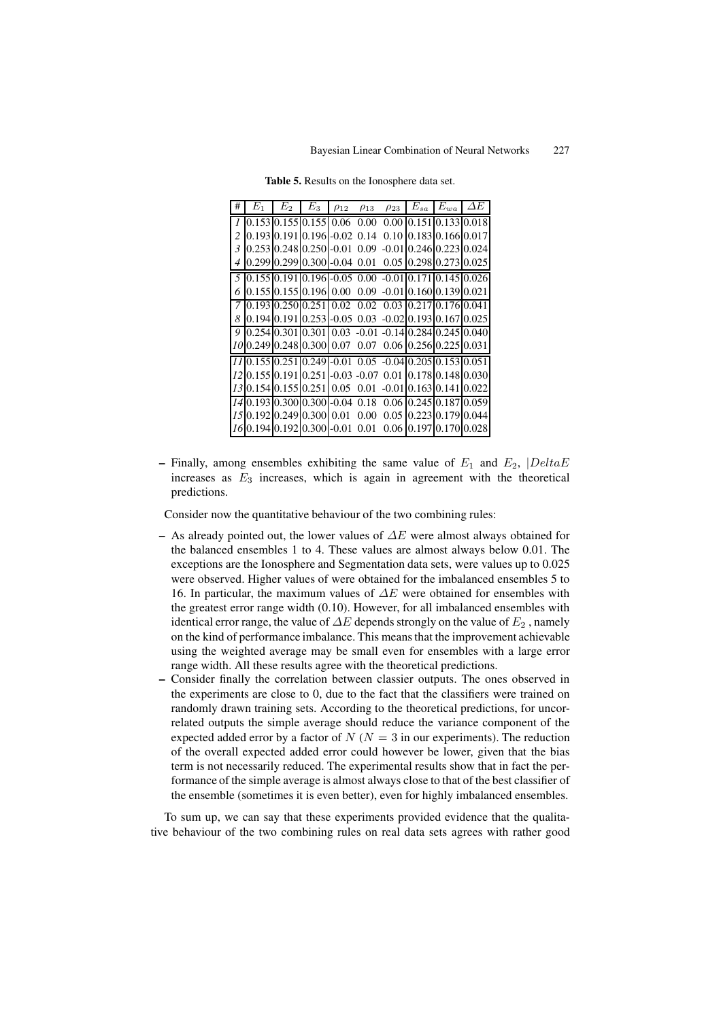<span id="page-26-0"></span>

| Table 5. Results on the Ionosphere data set. |  |
|----------------------------------------------|--|
|----------------------------------------------|--|

| #              | E1                                                        | E2 | $E_{3}$                                              | $\rho_{12}$ $\rho_{13}$ $\rho_{23}$ |      | $E_{sa}$                        | $\mathcal{E}_{wa}$ | ΔE                                                                                             |
|----------------|-----------------------------------------------------------|----|------------------------------------------------------|-------------------------------------|------|---------------------------------|--------------------|------------------------------------------------------------------------------------------------|
| 1              |                                                           |    | 0.153 0.155 0.155 0.06                               | 0.00                                |      |                                 |                    | 0.00 0.151 0.133 0.018                                                                         |
| $\overline{c}$ |                                                           |    | $0.193 \times 0.191 \times 0.196 - 0.02 \times 0.14$ |                                     |      | $0.10$   0.183   0.166   0.017  |                    |                                                                                                |
| 3              |                                                           |    | $0.253 \mid 0.248 \mid 0.250 \mid -0.01 \mid 0.09$   |                                     |      |                                 |                    | $-0.01$ 0.246 0.223 0.024                                                                      |
| 4              |                                                           |    |                                                      |                                     |      |                                 |                    | $[0.299]0.299]0.300] - 0.04$ 0.01 0.05 $[0.298]0.273]0.025$                                    |
| 5              | 10.15510.19110.1961-0.05  0.00  -0.0110.17110.14510.026   |    |                                                      |                                     |      |                                 |                    |                                                                                                |
| 6              |                                                           |    | 0.15510.15510.19610.00                               |                                     |      | $0.09 - 0.0110.16010.13910.021$ |                    |                                                                                                |
| 7              |                                                           |    | $0.193 \, 0.250 \, 0.251 \, 0.02$                    |                                     |      |                                 |                    | 0.02 0.03 0.217 0.176 0.041                                                                    |
| 8              |                                                           |    |                                                      |                                     |      |                                 |                    | $0.194 \times 0.191 \times 0.253 - 0.05$ $0.03$ $-0.02 \times 0.193 \times 0.167 \times 0.025$ |
|                | 9 0.254 0.301 0.301 0.03 -0.01 -0.14 0.284 0.245 0.040    |    |                                                      |                                     |      |                                 |                    |                                                                                                |
|                | 10\0.249\0.248\0.300\0.07 \times 0.06\0.256\0.225\0.031   |    |                                                      |                                     |      |                                 |                    |                                                                                                |
|                | 11 0.155 0.251 0.249 -0.01  0.05  -0.04 0.205 0.153 0.051 |    |                                                      |                                     |      |                                 |                    |                                                                                                |
|                | /2 0.155 0.191 0.251                                      |    |                                                      |                                     |      |                                 |                    | $-0.03 - 0.07$ 0.01 0.178 0.148 0.030                                                          |
|                | 13 0.154 0.155 0.251 0.05                                 |    |                                                      | 0.01                                |      |                                 |                    | $-0.01$ 0.163 0.141 0.022                                                                      |
|                | 14 0.193 0.300 0.300 - 0.04                               |    |                                                      | 0.18                                |      |                                 |                    | 0.06 0.245 0.187 0.059                                                                         |
|                | 15 0.192 0.249 0.300 0.01                                 |    |                                                      | 0.00                                |      | 0.05 0.223 0.179 0.044          |                    |                                                                                                |
| 76             |                                                           |    | $0.19410.19210.3001-0.01$                            | 0.01                                | 0.06 |                                 |                    | 0.197 0.170 0.028                                                                              |

– Finally, among ensembles exhibiting the same value of  $E_1$  and  $E_2$ ,  $|DeltaE|$ increases as  $E_3$  increases, which is again in agreement with the theoretical predictions.

Consider now the quantitative behaviour of the two combining rules:

- **–** As already pointed out, the lower values of ΔE were almost always obtained for the balanced ensembles 1 to 4. These values are almost always below 0.01. The exceptions are the Ionosphere and Segmentation data sets, were values up to 0.025 were observed. Higher values of were obtained for the imbalanced ensembles 5 to 16. In particular, the maximum values of  $\Delta E$  were obtained for ensembles with the greatest error range width (0.10). However, for all imbalanced ensembles with identical error range, the value of  $\Delta E$  depends strongly on the value of  $E_2$ , namely on the kind of performance imbalance. This means that the improvement achievable using the weighted average may be small even for ensembles with a large error range width. All these results agree with the theoretical predictions.
- **–** Consider finally the correlation between classier outputs. The ones observed in the experiments are close to 0, due to the fact that the classifiers were trained on randomly drawn training sets. According to the theoretical predictions, for uncorrelated outputs the simple average should reduce the variance component of the expected added error by a factor of  $N(N = 3$  in our experiments). The reduction of the overall expected added error could however be lower, given that the bias term is not necessarily reduced. The experimental results show that in fact the performance of the simple average is almost always close to that of the best classifier of the ensemble (sometimes it is even better), even for highly imbalanced ensembles.

To sum up, we can say that these experiments provided evidence that the qualitative behaviour of the two combining rules on real data sets agrees with rather good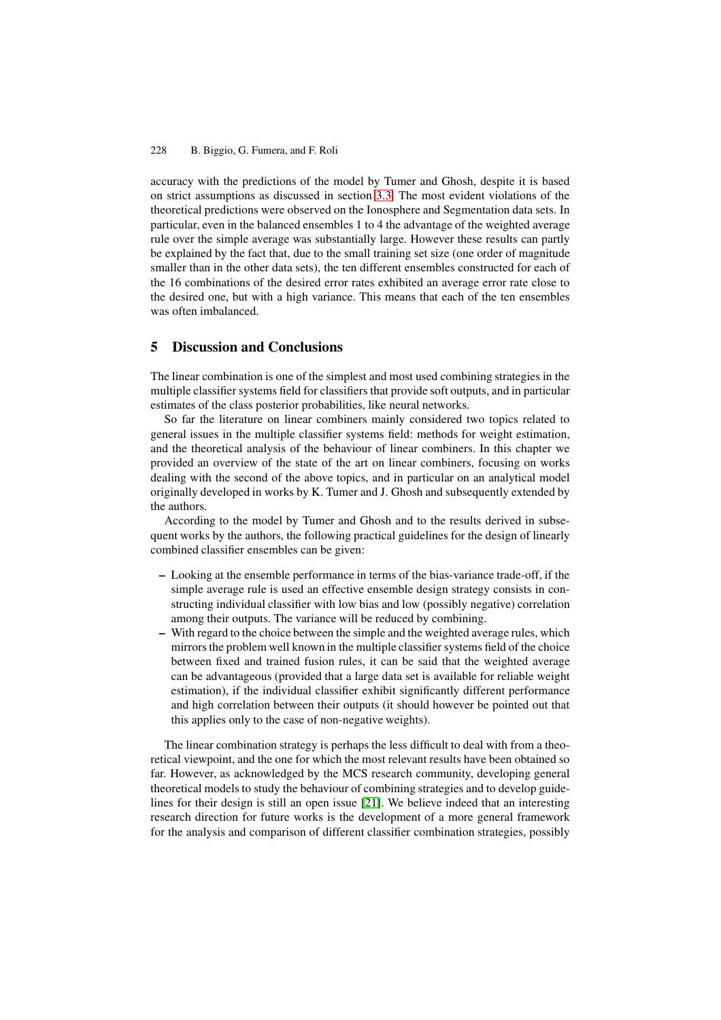accuracy with the predictions of the model by Tumer and Ghosh, despite it is based on strict assumptions as discussed in section 3.3. The most evident violations of the theoretical predictions were observed on the Ionosphere and Segmentation data sets. In particular, even in the balanced ensembles 1 to 4 the advantage of the weighted average rule over the simple average was substantially large. However these results can partly be explained by the fact that, due to the small [train](#page-15-0)ing set size (one order of magnitude smaller than in the other data sets), the ten different ensembles constructed for each of the 16 combinations of the desired error rates exhibited an average error rate close to the desired one, but with a high variance. This means that each of the ten ensembles was often imbalanced.

## **5 Discussion and Conclusions**

The linear combination is one of the simplest and most used combining strategies in the multiple classifier systems field for classifiers that provide soft outputs, and in particular estimates of the class posterior probabilities, like neural networks.

So far the literature on linear combiners mainly considered two topics related to general issues in the multiple classifier systems field: methods for weight estimation, and the theoretical analysis of the behaviour of linear combiners. In this chapter we provided an overview of the state of the art on linear combiners, focusing on works dealing with the second of the above topics, and in particular on an analytical model originally developed in works by K. Tumer and J. Ghosh and subsequently extended by the authors.

According to the model by Tumer and Ghosh and to the results derived in subsequent works by the authors, the following practical guidelines for the design of linearly combined classifier ensembles can be given:

- **–** Looking at the ensemble performance in terms of the bias-variance trade-off, if the simple average rule is used an effective ensemble design strategy consists in constructing individual classifier with low bias and low (possibly negative) correlation among their outputs. The variance will be reduced by combining.
- **–** With regard to the choice between the simple and the weighted average rules, which mirrors the problem well known in the multiple classifier systems field of the choice between fixed and trained fusion rules, it can be said that the weighted average can be advantageous (provided that a large data set is available for reliable weight estimation), if the individual classifier exhibit significantly different performance and high correlation between their outputs (it should however be pointed out that this applies only to the case of non-negative weights).

The linear combination strategy is perhaps the less difficult to deal with from a theoretical viewpoint, and the one for which the most relevant results have been obtained so far. However, as acknowledged by the MCS research community, developing general theoretical models to study the behaviour of combining strategies and to develop guidelines for their design is still an open issue [21]. We believe indeed that an interesting research direction for future works is the development of a more general framework for the analysis and comparison of different classifier combination strategies, possibly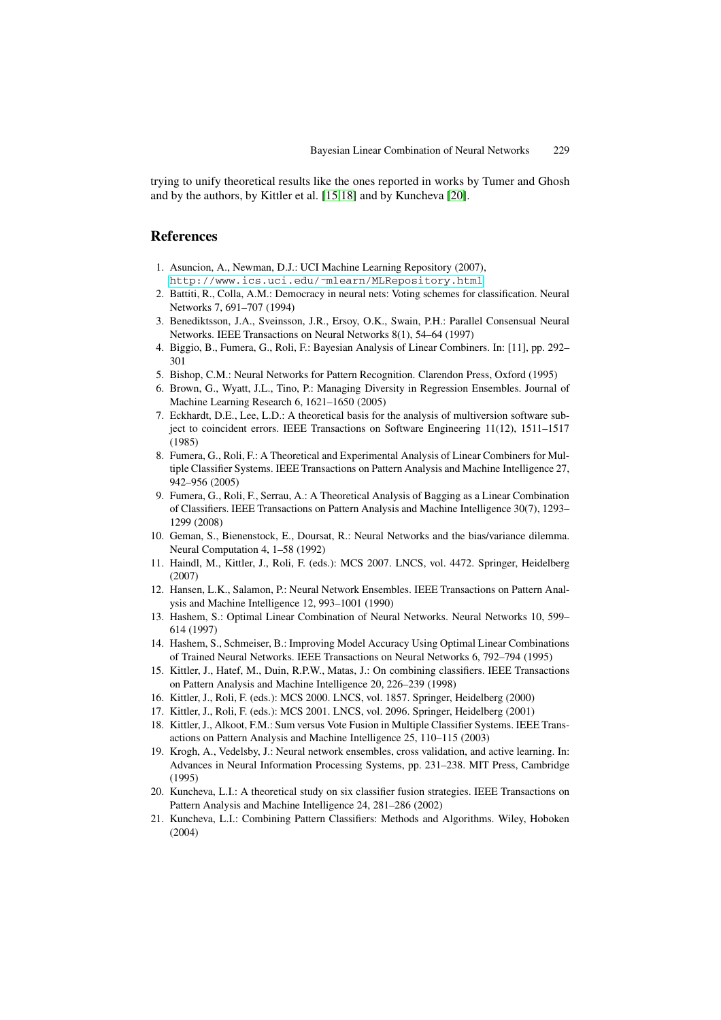trying to unify theoretical results like the ones reported in works by Tumer and Ghosh and by the authors, by Kittler et al. [15,18] and by Kuncheva [20].

## **References**

- 1. Asuncion, A., Newman, D.J.: UCI Machine Learning Repository (2007), http://www.ics.uci.edu/˜mlearn/MLRepository.html
- 2. Battiti, R., Colla, A.M.: Democracy in neural nets: Voting schemes for classification. Neural Networks 7, 691–707 (1994)
- 3. Benediktsson, J.A., Sveinsson, J.R., Ersoy, O.K., Swain, P.H.: Parallel Consensual Neural Networks. IEEE Transactions on Neural Networks 8(1), 54–64 (1997)
- <span id="page-28-17"></span>4. [Biggio,](http://www.ics.uci.edu/~mlearn/MLRepository.html) [B.,](http://www.ics.uci.edu/~mlearn/MLRepository.html) [Fumera,](http://www.ics.uci.edu/~mlearn/MLRepository.html) [G.,](http://www.ics.uci.edu/~mlearn/MLRepository.html) [Roli,](http://www.ics.uci.edu/~mlearn/MLRepository.html) [F.:](http://www.ics.uci.edu/~mlearn/MLRepository.html) [Bayesian](http://www.ics.uci.edu/~mlearn/MLRepository.html) [Analysis](http://www.ics.uci.edu/~mlearn/MLRepository.html) [of](http://www.ics.uci.edu/~mlearn/MLRepository.html) [Linear](http://www.ics.uci.edu/~mlearn/MLRepository.html) [Combiners](http://www.ics.uci.edu/~mlearn/MLRepository.html). In: [11], pp. 292– 301
- <span id="page-28-7"></span>5. Bishop, C.M.: Neural Networks for Pattern Recognition. Clarendon Press, Oxford (1995)
- <span id="page-28-5"></span>6. Brown, G., Wyatt, J.L., Tino, P.: Managing Diversity in Regression Ensembles. Journal of Machine Learning Research 6, 1621–1650 (2005)
- 7. Eckhardt, D.E., Lee, L.D.: A theoretical basis for the analysis of multiversion software subject to coincident errors. IEEE Transactions on Software Engineering 11(12), 1511–1517 (1985)
- <span id="page-28-18"></span><span id="page-28-12"></span>8. Fumera, G., Roli, F.: A Theoretical and Experimental Analysis of Linear Combiners for Multiple Classifier Systems. IEEE Transactions on Pattern Analysis and Machine Intelligence 27, 942–956 (2005)
- <span id="page-28-4"></span>9. Fumera, G., Roli, F., Serrau, A.: A Theoretical Analysis of Bagging as a Linear Combination of Classifiers. IEEE Transactions on Pattern Analysis and Machine Intelligence 30(7), 1293– 1299 (2008)
- <span id="page-28-6"></span>10. Geman, S., Bienenstock, E., Doursat, R.: Neural Networks and the bias/variance dilemma. Neural Computation 4, 1–58 (1992)
- 11. Haindl, M., Kittler, J., Roli, F. (eds.): MCS 2007. LNCS, vol. 4472. Springer, Heidelberg (2007)
- <span id="page-28-11"></span>12. Hansen, L.K., Salamon, P.: Neural Network Ensembles. IEEE Transactions on Pattern Analysis and Machine Intelligence 12, 993–1001 (1990)
- <span id="page-28-3"></span>13. Hashem, S.: Optimal Linear Combination of Neural Networks. Neural Networks 10, 599– 614 (1997)
- <span id="page-28-16"></span>14. Hashem, S., Schmeiser, B.: Improving Model Accuracy Using Optimal Linear Combinations of Trained Neural Networks. IEEE Transactions on Neural Networks 6, 792–794 (1995)
- <span id="page-28-9"></span>15. Kittler, J., Hatef, M., Duin, R.P.W., Matas, J.: On combining classifiers. IEEE Transactions on Pattern Analysis and Machine Intelligence 20, 226–239 (1998)
- <span id="page-28-8"></span>16. Kittler, J., Roli, F. (eds.): MCS 2000. LNCS, vol. 1857. Springer, Heidelberg (2000)
- 17. Kittler, J., Roli, F. (eds.): MCS 2001. LNCS, vol. 2096. Springer, Heidelberg (2001)
- <span id="page-28-13"></span>18. Kittler, J., Alkoot, F.M.: Sum versus Vote Fusion in Multiple Classifier Systems. IEEE Transactions on Pattern Analysis and Machine Intelligence 25, 110–115 (2003)
- <span id="page-28-2"></span><span id="page-28-1"></span>19. Krogh, A., Vedelsby, J.: Neural network ensembles, cross validation, and active learning. In: Advances in Neural Information Processing Systems, pp. 231–238. MIT Press, Cambridge (1995)
- <span id="page-28-14"></span><span id="page-28-10"></span>20. Kuncheva, L.I.: A theoretical study on six classifier fusion strategies. IEEE Transactions on Pattern Analysis and Machine Intelligence 24, 281–286 (2002)
- <span id="page-28-15"></span><span id="page-28-0"></span>21. Kuncheva, L.I.: Combining Pattern Classifiers: Methods and Algorithms. Wiley, Hoboken (2004)